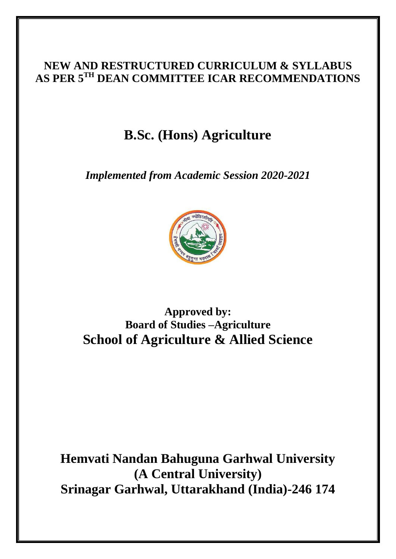# **NEW AND RESTRUCTURED CURRICULUM & SYLLABUS AS PER 5TH DEAN COMMITTEE ICAR RECOMMENDATIONS**

# **B.Sc. (Hons) Agriculture**

*Implemented from Academic Session 2020-2021*



# **Approved by: Board of Studies –Agriculture School of Agriculture & Allied Science**

**Hemvati Nandan Bahuguna Garhwal University (A Central University) Srinagar Garhwal, Uttarakhand (India)-246 174**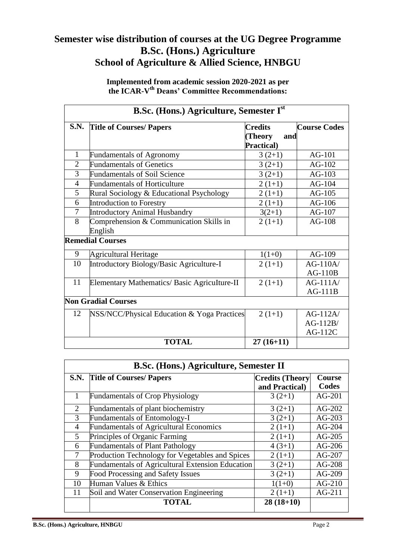# **Semester wise distribution of courses at the UG Degree Programme B.Sc. (Hons.) Agriculture School of Agriculture & Allied Science, HNBGU**

**Implemented from academic session 2020-2021 as per the ICAR-V th Deans' Committee Recommendations:**

| <b>B.Sc.</b> (Hons.) Agriculture, Semester I <sup>st</sup> |                                              |                    |                     |  |
|------------------------------------------------------------|----------------------------------------------|--------------------|---------------------|--|
| <b>S.N.</b>                                                | <b>Title of Courses/ Papers</b>              | <b>Credits</b>     | <b>Course Codes</b> |  |
|                                                            |                                              | (Theory<br>and     |                     |  |
|                                                            |                                              | <b>Practical</b> ) |                     |  |
| $\mathbf{1}$                                               | <b>Fundamentals of Agronomy</b>              | $3(2+1)$           | $AG-101$            |  |
| $\overline{2}$                                             | <b>Fundamentals of Genetics</b>              | $3(2+1)$           | $AG-102$            |  |
| 3                                                          | <b>Fundamentals of Soil Science</b>          | $3(2+1)$           | $AG-103$            |  |
| $\overline{4}$                                             | <b>Fundamentals of Horticulture</b>          | $2(1+1)$           | $AG-104$            |  |
| 5                                                          | Rural Sociology & Educational Psychology     | $2(1+1)$           | $AG-105$            |  |
| 6                                                          | Introduction to Forestry                     | $2(1+1)$           | $AG-106$            |  |
| $\tau$                                                     | <b>Introductory Animal Husbandry</b>         | $3(2+1)$           | $AG-107$            |  |
| 8                                                          | Comprehension & Communication Skills in      | $2(1+1)$           | $AG-108$            |  |
|                                                            | English                                      |                    |                     |  |
|                                                            | <b>Remedial Courses</b>                      |                    |                     |  |
| 9                                                          | <b>Agricultural Heritage</b>                 | $1(1+0)$           | AG-109              |  |
| 10                                                         | Introductory Biology/Basic Agriculture-I     | $2(1+1)$           | $AG-110A/$          |  |
|                                                            |                                              |                    | $AG-110B$           |  |
| 11                                                         | Elementary Mathematics/ Basic Agriculture-II | $2(1+1)$           | $AG-111A/$          |  |
|                                                            |                                              |                    | $AG-111B$           |  |
|                                                            | <b>Non Gradial Courses</b>                   |                    |                     |  |
| 12                                                         | NSS/NCC/Physical Education & Yoga Practices  | $2(1+1)$           | $AG-112A/$          |  |
|                                                            |                                              |                    | $AG-112B/$          |  |
|                                                            |                                              |                    | $AG-112C$           |  |
|                                                            | <b>TOTAL</b>                                 | $27(16+11)$        |                     |  |

|                | <b>B.Sc. (Hons.) Agriculture, Semester II</b>    |                        |          |  |  |  |
|----------------|--------------------------------------------------|------------------------|----------|--|--|--|
|                | S.N. Title of Courses/ Papers                    | <b>Credits (Theory</b> | Course   |  |  |  |
|                |                                                  | and Practical)         | Codes    |  |  |  |
|                | <b>Fundamentals of Crop Physiology</b>           | $3(2+1)$               | $AG-201$ |  |  |  |
| 2              | Fundamentals of plant biochemistry               | $3(2+1)$               | $AG-202$ |  |  |  |
| 3              | <b>Fundamentals of Entomology-I</b>              | $3(2+1)$               | $AG-203$ |  |  |  |
| $\overline{4}$ | <b>Fundamentals of Agricultural Economics</b>    | $2(1+1)$               | $AG-204$ |  |  |  |
| 5              | Principles of Organic Farming                    | $2(1+1)$               | $AG-205$ |  |  |  |
| 6              | <b>Fundamentals of Plant Pathology</b>           | $4(3+1)$               | $AG-206$ |  |  |  |
| 7              | Production Technology for Vegetables and Spices  | $2(1+1)$               | AG-207   |  |  |  |
| 8              | Fundamentals of Agricultural Extension Education | $3(2+1)$               | $AG-208$ |  |  |  |
| 9              | Food Processing and Safety Issues                | $3(2+1)$               | $AG-209$ |  |  |  |
| 10             | Human Values & Ethics                            | $1(1+0)$               | $AG-210$ |  |  |  |
| 11             | Soil and Water Conservation Engineering          | $2(1+1)$               | AG-211   |  |  |  |
|                | <b>TOTAL</b>                                     | $28(18+10)$            |          |  |  |  |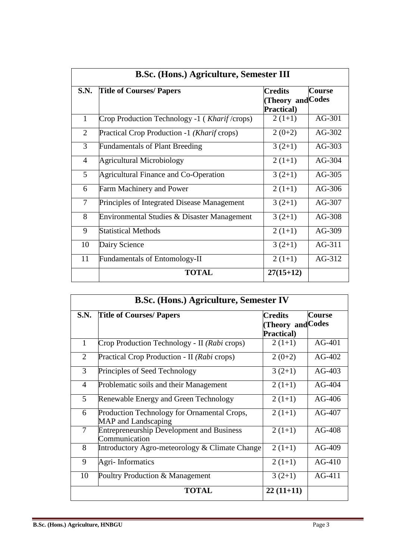|                | <b>B.Sc. (Hons.) Agriculture, Semester III</b>        |                                                   |               |  |  |
|----------------|-------------------------------------------------------|---------------------------------------------------|---------------|--|--|
| <b>S.N.</b>    | <b>Title of Courses/ Papers</b>                       | <b>Credits</b><br>(Theory and Codes<br>Practical) | <b>Course</b> |  |  |
| $\mathbf{1}$   | Crop Production Technology -1 ( <i>Kharif</i> /crops) | $2(1+1)$                                          | $AG-301$      |  |  |
| 2              | Practical Crop Production -1 (Kharif crops)           | $2(0+2)$                                          | AG-302        |  |  |
| 3              | <b>Fundamentals of Plant Breeding</b>                 | $3(2+1)$                                          | $AG-303$      |  |  |
| $\overline{4}$ | <b>Agricultural Microbiology</b>                      | $2(1+1)$                                          | $AG-304$      |  |  |
| 5              | <b>Agricultural Finance and Co-Operation</b>          | $3(2+1)$                                          | AG-305        |  |  |
| 6              | <b>Farm Machinery and Power</b>                       | $2(1+1)$                                          | $AG-306$      |  |  |
| $\overline{7}$ | Principles of Integrated Disease Management           | $3(2+1)$                                          | $AG-307$      |  |  |
| 8              | Environmental Studies & Disaster Management           | $3(2+1)$                                          | AG-308        |  |  |
| 9              | <b>Statistical Methods</b>                            | $2(1+1)$                                          | $AG-309$      |  |  |
| 10             | Dairy Science                                         | $3(2+1)$                                          | AG-311        |  |  |
| 11             | <b>Fundamentals of Entomology-II</b>                  | $2(1+1)$                                          | AG-312        |  |  |
|                | <b>TOTAL</b>                                          | $27(15+12)$                                       |               |  |  |

|                | <b>B.Sc. (Hons.) Agriculture, Semester IV</b>                      |                                                      |          |  |  |
|----------------|--------------------------------------------------------------------|------------------------------------------------------|----------|--|--|
| <b>S.N.</b>    | <b>Title of Courses/ Papers</b>                                    | <b>Course</b><br><b>Credits</b><br>(Theory and Codes |          |  |  |
|                |                                                                    | <b>Practical</b> )                                   |          |  |  |
| $\mathbf{1}$   | Crop Production Technology - II (Rabi crops)                       | $2(1+1)$                                             | $AG-401$ |  |  |
| 2              | Practical Crop Production - II (Rabi crops)                        | $2(0+2)$                                             | $AG-402$ |  |  |
| 3              | Principles of Seed Technology                                      | $3(2+1)$                                             | $AG-403$ |  |  |
| $\overline{4}$ | Problematic soils and their Management                             | $2(1+1)$                                             | $AG-404$ |  |  |
| 5              | Renewable Energy and Green Technology                              | $2(1+1)$                                             | $AG-406$ |  |  |
| 6              | Production Technology for Ornamental Crops,<br>MAP and Landscaping | $2(1+1)$                                             | $AG-407$ |  |  |
| $\overline{7}$ | <b>Entrepreneurship Development and Business</b><br>Communication  | $2(1+1)$                                             | $AG-408$ |  |  |
| 8              | Introductory Agro-meteorology & Climate Change                     | $2(1+1)$                                             | $AG-409$ |  |  |
| 9              | <b>Agri-Informatics</b>                                            | $2(1+1)$                                             | $AG-410$ |  |  |
| 10             | Poultry Production & Management                                    | $3(2+1)$                                             | $AG-411$ |  |  |
|                | <b>TOTAL</b>                                                       | $22(11+11)$                                          |          |  |  |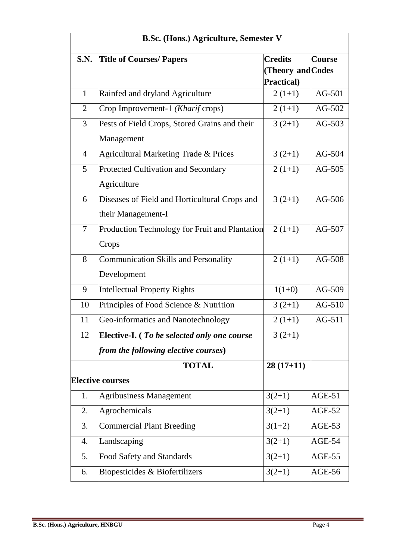| <b>B.Sc. (Hons.) Agriculture, Semester V</b> |                                                                    |                   |          |  |  |  |
|----------------------------------------------|--------------------------------------------------------------------|-------------------|----------|--|--|--|
| <b>S.N.</b>                                  | <b>Title of Courses/ Papers</b><br><b>Credits</b><br><b>Course</b> |                   |          |  |  |  |
|                                              |                                                                    | (Theory and Codes |          |  |  |  |
|                                              |                                                                    | Practical)        |          |  |  |  |
| $\mathbf{1}$                                 | Rainfed and dryland Agriculture                                    | $2(1+1)$          | AG-501   |  |  |  |
| $\overline{2}$                               | Crop Improvement-1 (Kharif crops)                                  | $2(1+1)$          | $AG-502$ |  |  |  |
| 3                                            | Pests of Field Crops, Stored Grains and their                      | $3(2+1)$          | $AG-503$ |  |  |  |
|                                              | Management                                                         |                   |          |  |  |  |
| $\overline{4}$                               | Agricultural Marketing Trade & Prices                              | $3(2+1)$          | $AG-504$ |  |  |  |
| 5                                            | Protected Cultivation and Secondary                                | $2(1+1)$          | $AG-505$ |  |  |  |
|                                              | Agriculture                                                        |                   |          |  |  |  |
| 6                                            | Diseases of Field and Horticultural Crops and                      | $3(2+1)$          | AG-506   |  |  |  |
|                                              | their Management-I                                                 |                   |          |  |  |  |
| $\overline{7}$                               | Production Technology for Fruit and Plantation                     | $2(1+1)$          | AG-507   |  |  |  |
|                                              | Crops                                                              |                   |          |  |  |  |
| 8                                            | Communication Skills and Personality                               | $2(1+1)$          | AG-508   |  |  |  |
|                                              | Development                                                        |                   |          |  |  |  |
| 9                                            | <b>Intellectual Property Rights</b>                                | $1(1+0)$          | AG-509   |  |  |  |
| 10                                           | Principles of Food Science & Nutrition                             | $3(2+1)$          | $AG-510$ |  |  |  |
| 11                                           | Geo-informatics and Nanotechnology                                 | $2(1+1)$          | AG-511   |  |  |  |
| 12                                           | <b>Elective-I.</b> ( <i>To be selected only one course</i>         | $3(2+1)$          |          |  |  |  |
|                                              | from the following elective courses)                               |                   |          |  |  |  |
|                                              | <b>TOTAL</b>                                                       | $28(17+11)$       |          |  |  |  |
|                                              | <b>Elective courses</b>                                            |                   |          |  |  |  |
| 1.                                           | <b>Agribusiness Management</b>                                     | $3(2+1)$          | $AGE-51$ |  |  |  |
| 2.                                           | Agrochemicals                                                      | $3(2+1)$          | AGE-52   |  |  |  |
| 3.                                           | <b>Commercial Plant Breeding</b>                                   | $3(1+2)$          | AGE-53   |  |  |  |
| 4.                                           | Landscaping                                                        | $3(2+1)$          | $AGE-54$ |  |  |  |
| 5.                                           | Food Safety and Standards                                          | $3(2+1)$          | AGE-55   |  |  |  |
| 6.                                           | Biopesticides & Biofertilizers                                     | $3(2+1)$          | AGE-56   |  |  |  |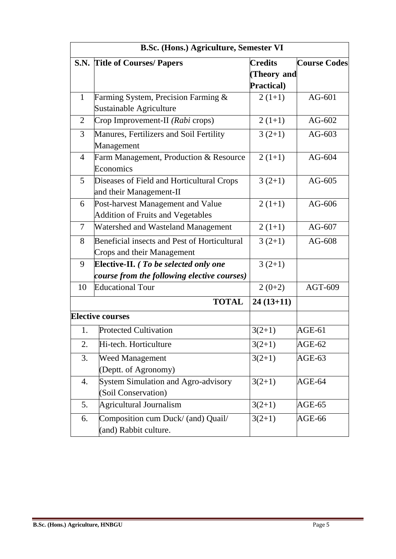|                | <b>B.Sc. (Hons.) Agriculture, Semester VI</b>        |                    |                     |  |  |
|----------------|------------------------------------------------------|--------------------|---------------------|--|--|
|                | <b>S.N.</b> Title of Courses/ Papers                 | <b>Credits</b>     | <b>Course Codes</b> |  |  |
|                |                                                      | (Theory and        |                     |  |  |
|                |                                                      | <b>Practical</b> ) |                     |  |  |
| $\mathbf{1}$   | Farming System, Precision Farming $\&$               | $2(1+1)$           | $AG-601$            |  |  |
|                | Sustainable Agriculture                              |                    |                     |  |  |
| 2              | Crop Improvement-II (Rabi crops)                     | $2(1+1)$           | $AG-602$            |  |  |
| 3              | Manures, Fertilizers and Soil Fertility              | $3(2+1)$           | $AG-603$            |  |  |
|                | Management                                           |                    |                     |  |  |
| $\overline{4}$ | Farm Management, Production & Resource               | $2(1+1)$           | $AG-604$            |  |  |
|                | Economics                                            |                    |                     |  |  |
| 5              | Diseases of Field and Horticultural Crops            | $3(2+1)$           | $AG-605$            |  |  |
|                | and their Management-II                              |                    |                     |  |  |
| 6              | Post-harvest Management and Value<br>$2(1+1)$        |                    | AG-606              |  |  |
|                | <b>Addition of Fruits and Vegetables</b>             |                    |                     |  |  |
| $\overline{7}$ | Watershed and Wasteland Management                   | $2(1+1)$           | $AG-607$            |  |  |
| 8              | Beneficial insects and Pest of Horticultural         | $3(2+1)$           | $AG-608$            |  |  |
|                | Crops and their Management                           |                    |                     |  |  |
| 9              | <b>Elective-II.</b> ( <i>To be selected only one</i> | $3(2+1)$           |                     |  |  |
|                | course from the following elective courses)          |                    |                     |  |  |
| 10             | <b>Educational Tour</b>                              | $2(0+2)$           | AGT-609             |  |  |
|                | <b>TOTAL</b>                                         | $24(13+11)$        |                     |  |  |
|                | <b>Elective courses</b>                              |                    |                     |  |  |
| 1.             | <b>Protected Cultivation</b>                         | $3(2+1)$           | $AGE-61$            |  |  |
| 2.             | Hi-tech. Horticulture                                | $3(2+1)$           | AGE-62              |  |  |
| 3.             | <b>Weed Management</b><br>$3(2+1)$                   |                    | AGE-63              |  |  |
|                | (Deptt. of Agronomy)                                 |                    |                     |  |  |
| 4.             | System Simulation and Agro-advisory                  | $3(2+1)$           | AGE-64              |  |  |
|                | (Soil Conservation)                                  |                    |                     |  |  |
| 5.             | Agricultural Journalism                              | $3(2+1)$           | AGE-65              |  |  |
| 6.             | Composition cum Duck/ (and) Quail/                   | $3(2+1)$           | AGE-66              |  |  |
|                | (and) Rabbit culture.                                |                    |                     |  |  |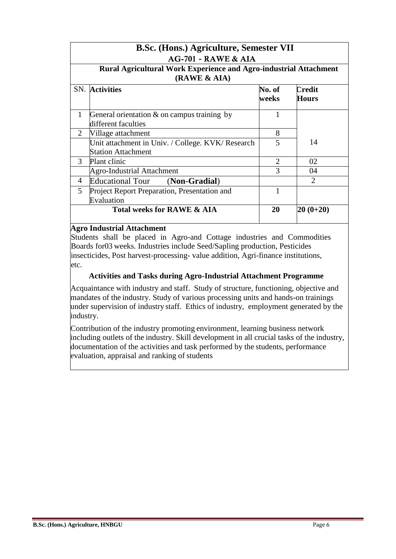|              | <b>B.Sc. (Hons.) Agriculture, Semester VII</b>                                 |                 |                             |  |  |  |
|--------------|--------------------------------------------------------------------------------|-----------------|-----------------------------|--|--|--|
|              | <b>AG-701 - RAWE &amp; AIA</b>                                                 |                 |                             |  |  |  |
|              | Rural Agricultural Work Experience and Agro-industrial Attachment              |                 |                             |  |  |  |
|              | (RAWE & AIA)                                                                   |                 |                             |  |  |  |
|              | <b>SN.</b> Activities                                                          | No. of<br>weeks | Credit<br><b>Hours</b>      |  |  |  |
| $\mathbf{1}$ | General orientation $\&$ on campus training by<br>different faculties          | 1               |                             |  |  |  |
| 2            | Village attachment                                                             | 8               |                             |  |  |  |
|              | Unit attachment in Univ. / College. KVK/ Research<br><b>Station Attachment</b> | 5               | 14                          |  |  |  |
| 3            | Plant clinic                                                                   | $\overline{2}$  | 02                          |  |  |  |
|              | Agro-Industrial Attachment                                                     | 3               | 04                          |  |  |  |
| 4            | <b>Educational Tour</b><br>(Non-Gradial)                                       |                 | $\mathcal{D}_{\mathcal{L}}$ |  |  |  |
| 5            | Project Report Preparation, Presentation and<br>Evaluation                     |                 |                             |  |  |  |
|              | Total weeks for RAWE & AIA                                                     | 20              | $ 20 (0+20)$                |  |  |  |

#### **Agro Industrial Attachment**

Students shall be placed in Agro-and Cottage industries and Commodities Boards for03 weeks. Industries include Seed/Sapling production, Pesticides insecticides, Post harvest-processing- value addition, Agri-finance institutions, etc.

### **Activities and Tasks during Agro-Industrial Attachment Programme**

Acquaintance with industry and staff. Study of structure, functioning, objective and mandates of the industry. Study of various processing units and hands-on trainings under supervision of industry staff. Ethics of industry, employment generated by the industry.

Contribution of the industry promoting environment, learning business network including outlets of the industry. Skill development in all crucial tasks of the industry, documentation of the activities and task performed by the students, performance evaluation, appraisal and ranking of students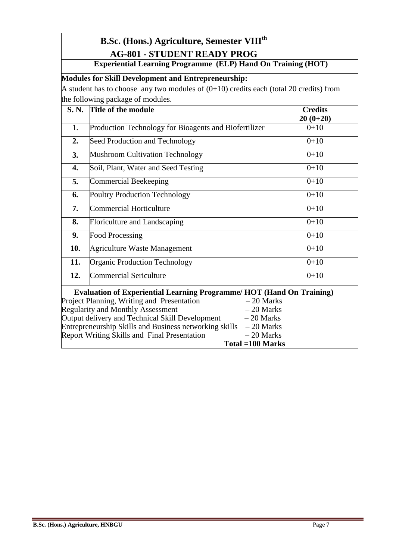# **B.Sc. (Hons.) Agriculture, Semester VIIIth AG-801 - STUDENT READY PROG**

# **Experiential Learning Programme (ELP) Hand On Training (HOT)**

# **Modules for Skill Development and Entrepreneurship:**

A student has to choose any two modules of  $(0+10)$  credits each (total 20 credits) from the following package of modules.

| S. N. | Title of the module                                                                                                                                                                                                                                                                                                                                                                                                                       | <b>Credits</b><br>$20(0+20)$ |
|-------|-------------------------------------------------------------------------------------------------------------------------------------------------------------------------------------------------------------------------------------------------------------------------------------------------------------------------------------------------------------------------------------------------------------------------------------------|------------------------------|
| 1.    | Production Technology for Bioagents and Biofertilizer                                                                                                                                                                                                                                                                                                                                                                                     | $0+10$                       |
| 2.    | Seed Production and Technology                                                                                                                                                                                                                                                                                                                                                                                                            | $0+10$                       |
| 3.    | <b>Mushroom Cultivation Technology</b>                                                                                                                                                                                                                                                                                                                                                                                                    | $0+10$                       |
| 4.    | Soil, Plant, Water and Seed Testing                                                                                                                                                                                                                                                                                                                                                                                                       | $0+10$                       |
| 5.    | <b>Commercial Beekeeping</b>                                                                                                                                                                                                                                                                                                                                                                                                              | $0+10$                       |
| 6.    | <b>Poultry Production Technology</b>                                                                                                                                                                                                                                                                                                                                                                                                      | $0+10$                       |
| 7.    | <b>Commercial Horticulture</b>                                                                                                                                                                                                                                                                                                                                                                                                            | $0+10$                       |
| 8.    | Floriculture and Landscaping                                                                                                                                                                                                                                                                                                                                                                                                              | $0+10$                       |
| 9.    | <b>Food Processing</b>                                                                                                                                                                                                                                                                                                                                                                                                                    | $0+10$                       |
| 10.   | Agriculture Waste Management                                                                                                                                                                                                                                                                                                                                                                                                              | $0+10$                       |
| 11.   | <b>Organic Production Technology</b>                                                                                                                                                                                                                                                                                                                                                                                                      | $0+10$                       |
| 12.   | <b>Commercial Sericulture</b>                                                                                                                                                                                                                                                                                                                                                                                                             | $0+10$                       |
|       | <b>Evaluation of Experiential Learning Programme/HOT (Hand On Training)</b><br>Project Planning, Writing and Presentation<br>$-20$ Marks<br><b>Regularity and Monthly Assessment</b><br>$-20$ Marks<br>Output delivery and Technical Skill Development<br>$-20$ Marks<br>Entrepreneurship Skills and Business networking skills<br>$-20$ Marks<br><b>Report Writing Skills and Final Presentation</b><br>$-20$ Marks<br>Total = 100 Marks |                              |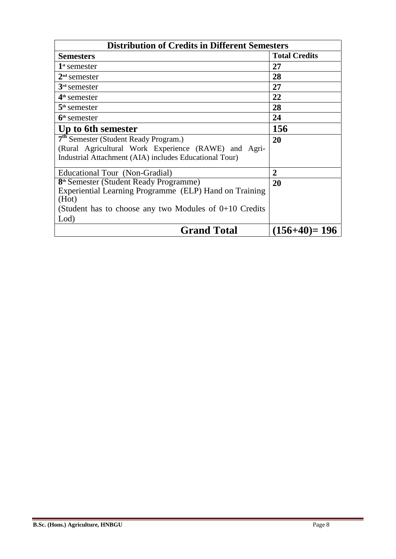| <b>Distribution of Credits in Different Semesters</b>    |                      |  |  |  |
|----------------------------------------------------------|----------------------|--|--|--|
| <b>Semesters</b>                                         | <b>Total Credits</b> |  |  |  |
| $\mathbf{1}^{\text{st}}$ semester                        | 27                   |  |  |  |
| $2nd$ semester                                           | 28                   |  |  |  |
| $3rd$ semester                                           | 27                   |  |  |  |
| $4th$ semester                                           | 22                   |  |  |  |
| $5th$ semester                                           | 28                   |  |  |  |
| $6th$ semester                                           | 24                   |  |  |  |
| Up to 6th semester                                       | 156                  |  |  |  |
| 7 <sup>th</sup> Semester (Student Ready Program.)        | 20                   |  |  |  |
| (Rural Agricultural Work Experience (RAWE) and Agri-     |                      |  |  |  |
| Industrial Attachment (AIA) includes Educational Tour)   |                      |  |  |  |
| Educational Tour (Non-Gradial)                           | 2                    |  |  |  |
| 8 <sup>th</sup> Semester (Student Ready Programme)       | 20                   |  |  |  |
| Experiential Learning Programme (ELP) Hand on Training   |                      |  |  |  |
| (Hot)                                                    |                      |  |  |  |
| (Student has to choose any two Modules of $0+10$ Credits |                      |  |  |  |
| Lod)                                                     |                      |  |  |  |
| <b>Grand Total</b>                                       | $(156+40)=196$       |  |  |  |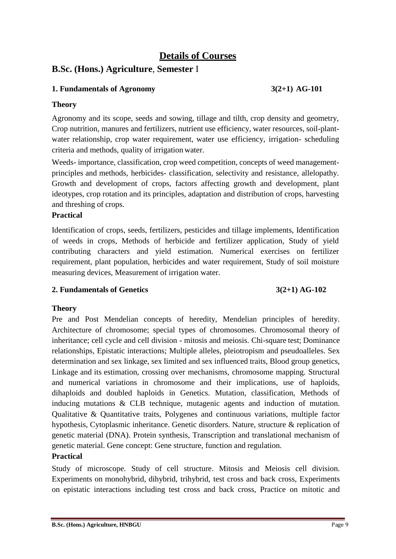# **Details of Courses**

# **B.Sc. (Hons.) Agriculture**, **Semester** I

# **1. Fundamentals of Agronomy 3(2+1) AG-101**

### **Theory**

Agronomy and its scope, seeds and sowing, tillage and tilth, crop density and geometry, Crop nutrition, manures and fertilizers, nutrient use efficiency, water resources, soil-plantwater relationship, crop water requirement, water use efficiency, irrigation- scheduling criteria and methods, quality of irrigation water.

Weeds- importance, classification, crop weed competition, concepts of weed managementprinciples and methods, herbicides- classification, selectivity and resistance, allelopathy. Growth and development of crops, factors affecting growth and development, plant ideotypes, crop rotation and its principles, adaptation and distribution of crops, harvesting and threshing of crops.

### **Practical**

Identification of crops, seeds, fertilizers, pesticides and tillage implements, Identification of weeds in crops, Methods of herbicide and fertilizer application, Study of yield contributing characters and yield estimation. Numerical exercises on fertilizer requirement, plant population, herbicides and water requirement, Study of soil moisture measuring devices, Measurement of irrigation water.

### **2. Fundamentals of Genetics 3(2+1) AG-102**

### **Theory**

Pre and Post Mendelian concepts of heredity, Mendelian principles of heredity. Architecture of chromosome; special types of chromosomes. Chromosomal theory of inheritance; cell cycle and cell division - mitosis and meiosis. Chi-square test; Dominance relationships, Epistatic interactions; Multiple alleles, pleiotropism and pseudoalleles. Sex determination and sex linkage, sex limited and sex influenced traits, Blood group genetics, Linkage and its estimation, crossing over mechanisms, chromosome mapping. Structural and numerical variations in chromosome and their implications, use of haploids, dihaploids and doubled haploids in Genetics. Mutation, classification, Methods of inducing mutations & CLB technique, mutagenic agents and induction of mutation. Qualitative & Quantitative traits, Polygenes and continuous variations, multiple factor hypothesis, Cytoplasmic inheritance. Genetic disorders. Nature, structure & replication of genetic material (DNA). Protein synthesis, Transcription and translational mechanism of genetic material. Gene concept: Gene structure, function and regulation.

# **Practical**

Study of microscope. Study of cell structure. Mitosis and Meiosis cell division. Experiments on monohybrid, dihybrid, trihybrid, test cross and back cross, Experiments on epistatic interactions including test cross and back cross, Practice on mitotic and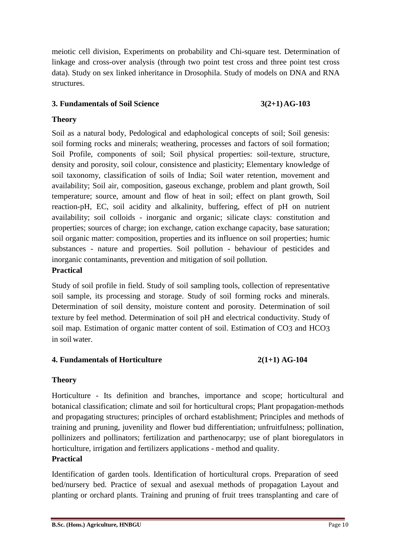meiotic cell division, Experiments on probability and Chi-square test. Determination of linkage and cross-over analysis (through two point test cross and three point test cross data). Study on sex linked inheritance in Drosophila. Study of models on DNA and RNA structures.

# **3. Fundamentals of Soil Science 3(2+1)AG-103**

# **Theory**

Soil as a natural body, Pedological and edaphological concepts of soil; Soil genesis: soil forming rocks and minerals; weathering, processes and factors of soil formation; Soil Profile, components of soil; Soil physical properties: soil-texture, structure, density and porosity, soil colour, consistence and plasticity; Elementary knowledge of soil taxonomy, classification of soils of India; Soil water retention, movement and availability; Soil air, composition, gaseous exchange, problem and plant growth, Soil temperature; source, amount and flow of heat in soil; effect on plant growth, Soil reaction-pH, EC, soil acidity and alkalinity, buffering, effect of pH on nutrient availability; soil colloids - inorganic and organic; silicate clays: constitution and properties; sources of charge; ion exchange, cation exchange capacity, base saturation; soil organic matter: composition, properties and its influence on soil properties; humic substances - nature and properties. Soil pollution - behaviour of pesticides and inorganic contaminants, prevention and mitigation of soil pollution.

### **Practical**

Study of soil profile in field. Study of soil sampling tools, collection of representative soil sample, its processing and storage. Study of soil forming rocks and minerals. Determination of soil density, moisture content and porosity. Determination of soil texture by feel method. Determination of soil pH and electrical conductivity. Study of soil map. Estimation of organic matter content of soil. Estimation of CO3 and HCO3 in soil water.

# **4. Fundamentals of Horticulture 2(1+1) AG-104**

# **Theory**

Horticulture - Its definition and branches, importance and scope; horticultural and botanical classification; climate and soil for horticultural crops; Plant propagation-methods and propagating structures; principles of orchard establishment; Principles and methods of training and pruning, juvenility and flower bud differentiation; unfruitfulness; pollination, pollinizers and pollinators; fertilization and parthenocarpy; use of plant bioregulators in horticulture, irrigation and fertilizers applications - method and quality.

### **Practical**

Identification of garden tools. Identification of horticultural crops. Preparation of seed bed/nursery bed. Practice of sexual and asexual methods of propagation Layout and planting or orchard plants. Training and pruning of fruit trees transplanting and care of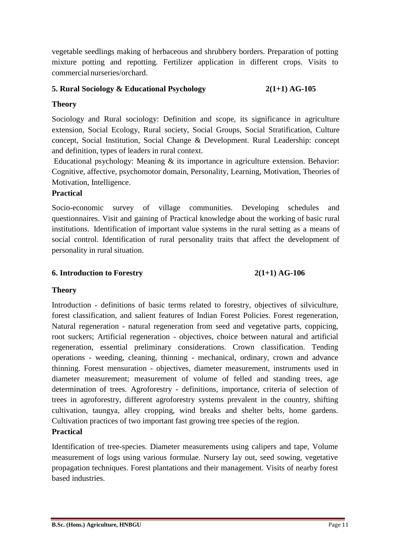vegetable seedlings making of herbaceous and shrubbery borders. Preparation of potting mixture potting and repotting. Fertilizer application in different crops. Visits to commercial nurseries/orchard.

# **5. Rural Sociology & Educational Psychology 2(1+1) AG-105**

# **Theory**

Sociology and Rural sociology: Definition and scope, its significance in agriculture extension, Social Ecology, Rural society, Social Groups, Social Stratification, Culture concept, Social Institution, Social Change & Development. Rural Leadership: concept and definition, types of leaders in rural context.

Educational psychology: Meaning  $\&$  its importance in agriculture extension. Behavior: Cognitive, affective, psychomotor domain, Personality, Learning, Motivation, Theories of Motivation, Intelligence.

# **Practical**

Socio-economic survey of village communities. Developing schedules and questionnaires. Visit and gaining of Practical knowledge about the working of basic rural institutions. Identification of important value systems in the rural setting as a means of social control. Identification of rural personality traits that affect the development of personality in rural situation.

# **6. Introduction to Forestry 2(1+1) AG-106**

# **Theory**

Introduction - definitions of basic terms related to forestry, objectives of silviculture, forest classification, and salient features of Indian Forest Policies. Forest regeneration, Natural regeneration - natural regeneration from seed and vegetative parts, coppicing, root suckers; Artificial regeneration - objectives, choice between natural and artificial regeneration, essential preliminary considerations. Crown classification. Tending operations - weeding, cleaning, thinning - mechanical, ordinary, crown and advance thinning. Forest mensuration - objectives, diameter measurement, instruments used in diameter measurement; measurement of volume of felled and standing trees, age determination of trees. Agroforestry - definitions, importance, criteria of selection of trees in agroforestry, different agroforestry systems prevalent in the country, shifting cultivation, taungya, alley cropping, wind breaks and shelter belts, home gardens. Cultivation practices of two important fast growing tree species of the region. **Practical**

Identification of tree-species. Diameter measurements using calipers and tape, Volume measurement of logs using various formulae. Nursery lay out, seed sowing, vegetative propagation techniques. Forest plantations and their management. Visits of nearby forest based industries.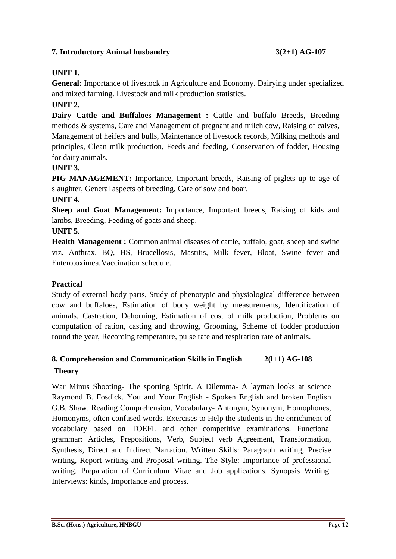# **7. Introductory Animal husbandry 3(2+1) AG-107**

# **UNIT 1.**

**General:** Importance of livestock in Agriculture and Economy. Dairying under specialized and mixed farming. Livestock and milk production statistics.

# **UNIT 2.**

Dairy Cattle and Buffaloes Management : Cattle and buffalo Breeds, Breeding methods & systems, Care and Management of pregnant and milch cow, Raising of calves, Management of heifers and bulls, Maintenance of livestock records, Milking methods and principles, Clean milk production, Feeds and feeding, Conservation of fodder, Housing for dairy animals.

### **UNIT 3.**

**PIG MANAGEMENT:** Importance, Important breeds, Raising of piglets up to age of slaughter, General aspects of breeding, Care of sow and boar.

### **UNIT 4.**

**Sheep and Goat Management:** Importance, Important breeds, Raising of kids and lambs, Breeding, Feeding of goats and sheep.

### **UNIT 5.**

**Health Management :** Common animal diseases of cattle, buffalo, goat, sheep and swine viz. Anthrax, BQ, HS, Brucellosis, Mastitis, Milk fever, Bloat, Swine fever and Enterotoximea,Vaccination schedule.

### **Practical**

Study of external body parts, Study of phenotypic and physiological difference between cow and buffaloes, Estimation of body weight by measurements, Identification of animals, Castration, Dehorning, Estimation of cost of milk production, Problems on computation of ration, casting and throwing, Grooming, Scheme of fodder production round the year, Recording temperature, pulse rate and respiration rate of animals.

# **8. Comprehension and Communication Skills in English 2(l+1) AG-108 Theory**

War Minus Shooting- The sporting Spirit. A Dilemma- A layman looks at science Raymond B. Fosdick. You and Your English - Spoken English and broken English G.B. Shaw. Reading Comprehension, Vocabulary- Antonym, Synonym, Homophones, Homonyms, often confused words. Exercises to Help the students in the enrichment of vocabulary based on TOEFL and other competitive examinations. Functional grammar: Articles, Prepositions, Verb, Subject verb Agreement, Transformation, Synthesis, Direct and Indirect Narration. Written Skills: Paragraph writing, Precise writing, Report writing and Proposal writing. The Style: Importance of professional writing. Preparation of Curriculum Vitae and Job applications. Synopsis Writing. Interviews: kinds, Importance and process.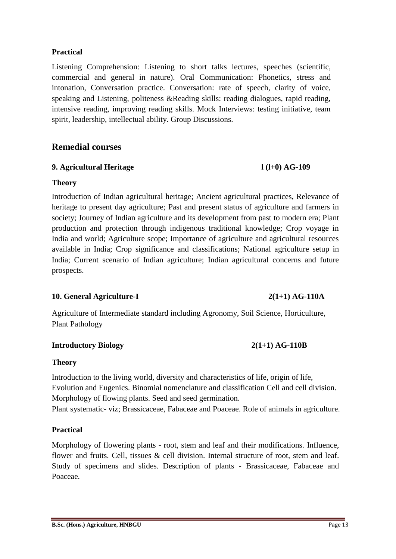#### **B.Sc. (Hons.) Agriculture, HNBGU** Page 13

#### **Practical**

Listening Comprehension: Listening to short talks lectures, speeches (scientific, commercial and general in nature). Oral Communication: Phonetics, stress and intonation, Conversation practice. Conversation: rate of speech, clarity of voice, speaking and Listening, politeness &Reading skills: reading dialogues, rapid reading, intensive reading, improving reading skills. Mock Interviews: testing initiative, team spirit, leadership, intellectual ability. Group Discussions.

# **Remedial courses**

### **9. Agricultural Heritage l (l+0) AG-109**

#### **Theory**

Introduction of Indian agricultural heritage; Ancient agricultural practices, Relevance of heritage to present day agriculture; Past and present status of agriculture and farmers in society; Journey of Indian agriculture and its development from past to modern era; Plant production and protection through indigenous traditional knowledge; Crop voyage in India and world; Agriculture scope; Importance of agriculture and agricultural resources available in India; Crop significance and classifications; National agriculture setup in India; Current scenario of Indian agriculture; Indian agricultural concerns and future prospects.

### **10. General Agriculture-I 2(1+1) AG-110A**

Agriculture of Intermediate standard including Agronomy, Soil Science, Horticulture, Plant Pathology

#### **Introductory Biology 2(1+1) AG-110B**

#### **Theory**

Introduction to the living world, diversity and characteristics of life, origin of life, Evolution and Eugenics. Binomial nomenclature and classification Cell and cell division. Morphology of flowing plants. Seed and seed germination. Plant systematic- viz; Brassicaceae, Fabaceae and Poaceae. Role of animals in agriculture.

#### **Practical**

Morphology of flowering plants - root, stem and leaf and their modifications. Influence, flower and fruits. Cell, tissues & cell division. Internal structure of root, stem and leaf. Study of specimens and slides. Description of plants - Brassicaceae, Fabaceae and Poaceae.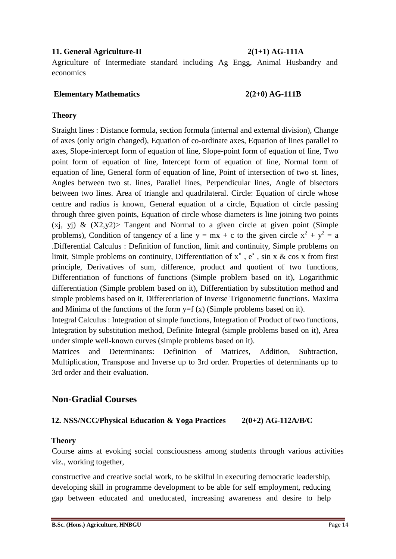### **11. General Agriculture-II 2(1+1) AG-111A**

Agriculture of Intermediate standard including Ag Engg, Animal Husbandry and economics

#### **Elementary Mathematics 2(2+0) AG-111B**

### **Theory**

Straight lines : Distance formula, section formula (internal and external division), Change of axes (only origin changed), Equation of co-ordinate axes, Equation of lines parallel to axes, Slope-intercept form of equation of line, Slope-point form of equation of line, Two point form of equation of line, Intercept form of equation of line, Normal form of equation of line, General form of equation of line, Point of intersection of two st. lines, Angles between two st. lines, Parallel lines, Perpendicular lines, Angle of bisectors between two lines. Area of triangle and quadrilateral. Circle: Equation of circle whose centre and radius is known, General equation of a circle, Equation of circle passing through three given points, Equation of circle whose diameters is line joining two points  $(x_i, y_i)$  &  $(X2,y2)$  Tangent and Normal to a given circle at given point (Simple problems), Condition of tangency of a line  $y = mx + c$  to the given circle  $x^2 + y^2 = a$ .Differential Calculus : Definition of function, limit and continuity, Simple problems on limit, Simple problems on continuity, Differentiation of  $x^n$ ,  $e^x$ , sin x & cos x from first principle, Derivatives of sum, difference, product and quotient of two functions, Differentiation of functions of functions (Simple problem based on it), Logarithmic differentiation (Simple problem based on it), Differentiation by substitution method and simple problems based on it, Differentiation of Inverse Trigonometric functions. Maxima and Minima of the functions of the form  $y=f(x)$  (Simple problems based on it).

Integral Calculus : Integration of simple functions, Integration of Product of two functions, Integration by substitution method, Definite Integral (simple problems based on it), Area under simple well-known curves (simple problems based on it).

Matrices and Determinants: Definition of Matrices, Addition, Subtraction, Multiplication, Transpose and Inverse up to 3rd order. Properties of determinants up to 3rd order and their evaluation.

# **Non-Gradial Courses**

### **12. NSS/NCC/Physical Education & Yoga Practices 2(0+2) AG-112A/B/C**

### **Theory**

Course aims at evoking social consciousness among students through various activities viz., working together,

constructive and creative social work, to be skilful in executing democratic leadership, developing skill in programme development to be able for self employment, reducing gap between educated and uneducated, increasing awareness and desire to help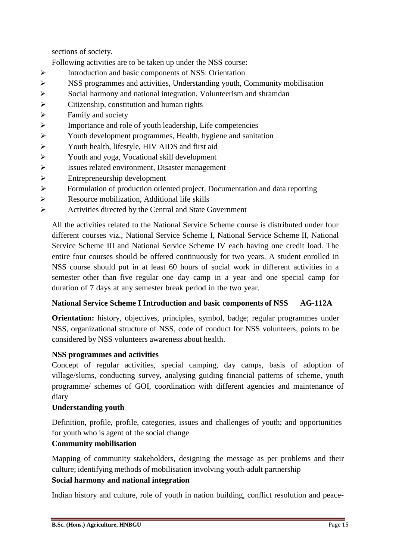sections of society.

Following activities are to be taken up under the NSS course:

- $\triangleright$  Introduction and basic components of NSS: Orientation
- NSS programmes and activities, Understanding youth, Community mobilisation
- Social harmony and national integration, Volunteerism and shramdan
- $\triangleright$  Citizenship, constitution and human rights
- $\triangleright$  Family and society
- $\triangleright$  Importance and role of youth leadership, Life competencies
- Youth development programmes, Health, hygiene and sanitation
- Youth health, lifestyle, HIV AIDS and first aid
- Youth and yoga, Vocational skill development
- Issues related environment, Disaster management
- $\triangleright$  Entrepreneurship development
- Formulation of production oriented project, Documentation and data reporting
- Resource mobilization, Additional life skills
- Activities directed by the Central and State Government

All the activities related to the National Service Scheme course is distributed under four different courses viz., National Service Scheme I, National Service Scheme II, National Service Scheme III and National Service Scheme IV each having one credit load. The entire four courses should be offered continuously for two years. A student enrolled in NSS course should put in at least 60 hours of social work in different activities in a semester other than five regular one day camp in a year and one special camp for duration of 7 days at any semester break period in the two year.

### **National Service Scheme I Introduction and basic components of NSS AG-112A**

**Orientation:** history, objectives, principles, symbol, badge; regular programmes under NSS, organizational structure of NSS, code of conduct for NSS volunteers, points to be considered by NSS volunteers awareness about health.

### **NSS programmes and activities**

Concept of regular activities, special camping, day camps, basis of adoption of village/slums, conducting survey, analysing guiding financial patterns of scheme, youth programme/ schemes of GOI, coordination with different agencies and maintenance of diary

### **Understanding youth**

Definition, profile, profile, categories, issues and challenges of youth; and opportunities for youth who is agent of the social change

### **Community mobilisation**

Mapping of community stakeholders, designing the message as per problems and their culture; identifying methods of mobilisation involving youth-adult partnership **Social harmony and national integration**

Indian history and culture, role of youth in nation building, conflict resolution and peace-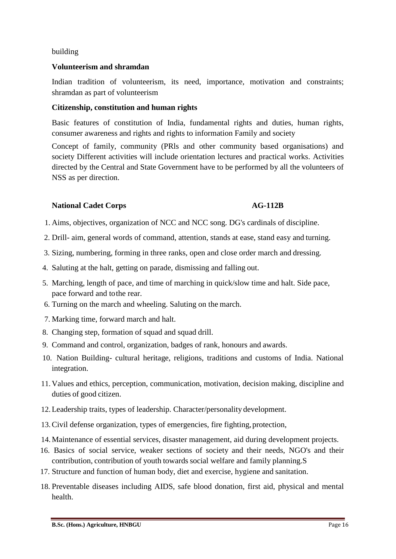#### building

### **Volunteerism and shramdan**

Indian tradition of volunteerism, its need, importance, motivation and constraints; shramdan as part of volunteerism

#### **Citizenship, constitution and human rights**

Basic features of constitution of India, fundamental rights and duties, human rights, consumer awareness and rights and rights to information Family and society

Concept of family, community (PRls and other community based organisations) and society Different activities will include orientation lectures and practical works. Activities directed by the Central and State Government have to be performed by all the volunteers of NSS as per direction.

### **National Cadet Corps AG-112B**

- 1. Aims, objectives, organization of NCC and NCC song. DG's cardinals of discipline.
- 2. Drill- aim, general words of command, attention, stands at ease, stand easy and turning.
- 3. Sizing, numbering, forming in three ranks, open and close order march and dressing.
- 4. Saluting at the halt, getting on parade, dismissing and falling out.
- 5. Marching, length of pace, and time of marching in quick/slow time and halt. Side pace, pace forward and tothe rear.
- 6. Turning on the march and wheeling. Saluting on the march.
- 7. Marking time, forward march and halt.
- 8. Changing step, formation of squad and squad drill.
- 9. Command and control, organization, badges of rank, honours and awards.
- 10. Nation Building- cultural heritage, religions, traditions and customs of India. National integration.
- 11. Values and ethics, perception, communication, motivation, decision making, discipline and duties of good citizen.
- 12.Leadership traits, types of leadership. Character/personality development.
- 13. Civil defense organization, types of emergencies, fire fighting, protection,
- 14. Maintenance of essential services, disaster management, aid during development projects.
- 16. Basics of social service, weaker sections of society and their needs, NGO's and their contribution, contribution of youth towards social welfare and family planning.S
- 17. Structure and function of human body, diet and exercise, hygiene and sanitation.
- 18. Preventable diseases including AIDS, safe blood donation, first aid, physical and mental health.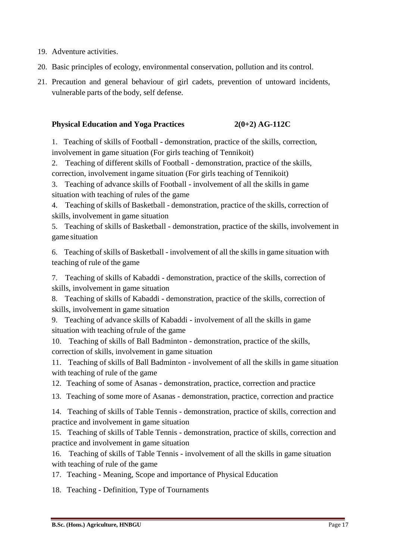- 19. Adventure activities.
- 20. Basic principles of ecology, environmental conservation, pollution and its control.
- 21. Precaution and general behaviour of girl cadets, prevention of untoward incidents, vulnerable parts of the body, self defense.

### **Physical Education and Yoga Practices 2(0+2) AG-112C**

1. Teaching of skills of Football - demonstration, practice of the skills, correction, involvement in game situation (For girls teaching of Tennikoit)

2. Teaching of different skills of Football - demonstration, practice of the skills, correction, involvement ingame situation (For girls teaching of Tennikoit)

3. Teaching of advance skills of Football - involvement of all the skills in game situation with teaching of rules of the game

4. Teaching of skills of Basketball - demonstration, practice of the skills, correction of skills, involvement in game situation

5. Teaching of skills of Basketball - demonstration, practice of the skills, involvement in game situation

6. Teaching of skills of Basketball - involvement of all the skillsin game situation with teaching of rule of the game

7. Teaching of skills of Kabaddi - demonstration, practice of the skills, correction of skills, involvement in game situation

8. Teaching of skills of Kabaddi - demonstration, practice of the skills, correction of skills, involvement in game situation

9. Teaching of advance skills of Kabaddi - involvement of all the skills in game situation with teaching ofrule of the game

10. Teaching of skills of Ball Badminton - demonstration, practice of the skills, correction of skills, involvement in game situation

11. Teaching of skills of Ball Badminton - involvement of all the skills in game situation with teaching of rule of the game

12. Teaching of some of Asanas - demonstration, practice, correction and practice

13. Teaching of some more of Asanas - demonstration, practice, correction and practice

14. Teaching of skills of Table Tennis - demonstration, practice of skills, correction and practice and involvement in game situation

15. Teaching of skills of Table Tennis - demonstration, practice of skills, correction and practice and involvement in game situation

16. Teaching of skills of Table Tennis - involvement of all the skills in game situation with teaching of rule of the game

17. Teaching - Meaning, Scope and importance of Physical Education

18. Teaching - Definition, Type of Tournaments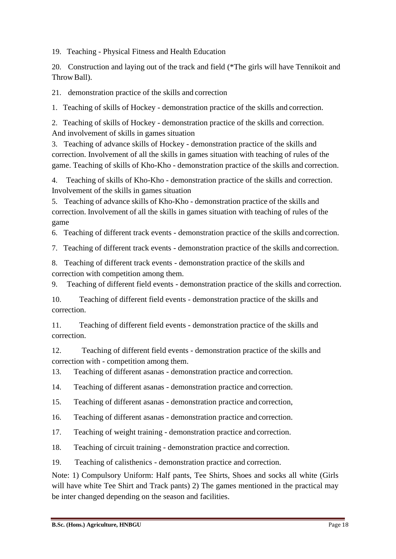19. Teaching - Physical Fitness and Health Education

20. Construction and laying out of the track and field (\*The girls will have Tennikoit and Throw Ball).

21. demonstration practice of the skills and correction

1. Teaching of skills of Hockey - demonstration practice of the skills and correction.

2. Teaching of skills of Hockey - demonstration practice of the skills and correction. And involvement of skills in games situation

3. Teaching of advance skills of Hockey - demonstration practice of the skills and correction. Involvement of all the skills in games situation with teaching of rules of the game. Teaching of skills of Kho-Kho - demonstration practice of the skills and correction.

4. Teaching of skills of Kho-Kho - demonstration practice of the skills and correction. Involvement of the skills in games situation

5. Teaching of advance skills of Kho-Kho - demonstration practice of the skills and correction. Involvement of all the skills in games situation with teaching of rules of the game

6. Teaching of different track events - demonstration practice of the skills and correction.

7. Teaching of different track events - demonstration practice of the skills and correction.

8. Teaching of different track events - demonstration practice of the skills and correction with competition among them.

9. Teaching of different field events - demonstration practice of the skills and correction.

10. Teaching of different field events - demonstration practice of the skills and correction.

11. Teaching of different field events - demonstration practice of the skills and correction.

12. Teaching of different field events - demonstration practice of the skills and correction with - competition among them.

13. Teaching of different asanas - demonstration practice and correction.

14. Teaching of different asanas - demonstration practice and correction.

15. Teaching of different asanas - demonstration practice and correction,

16. Teaching of different asanas - demonstration practice and correction.

17. Teaching of weight training - demonstration practice and correction.

18. Teaching of circuit training - demonstration practice and correction.

19. Teaching of calisthenics - demonstration practice and correction.

Note: 1) Compulsory Uniform: Half pants, Tee Shirts, Shoes and socks all white (Girls will have white Tee Shirt and Track pants) 2) The games mentioned in the practical may be inter changed depending on the season and facilities.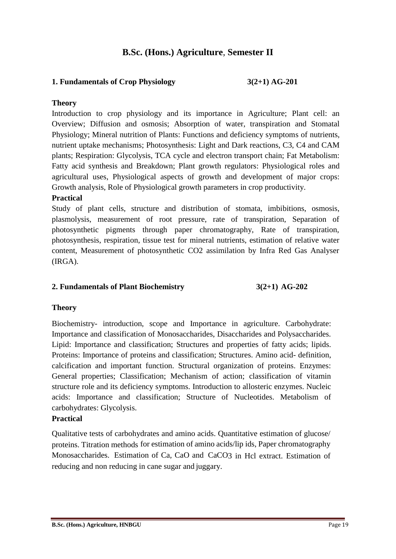# **B.Sc. (Hons.) Agriculture**, **Semester II**

### **1. Fundamentals of Crop Physiology 3(2+1) AG-201**

#### **Theory**

Introduction to crop physiology and its importance in Agriculture; Plant cell: an Overview; Diffusion and osmosis; Absorption of water, transpiration and Stomatal Physiology; Mineral nutrition of Plants: Functions and deficiency symptoms of nutrients, nutrient uptake mechanisms; Photosynthesis: Light and Dark reactions, C3, C4 and CAM plants; Respiration: Glycolysis, TCA cycle and electron transport chain; Fat Metabolism: Fatty acid synthesis and Breakdown; Plant growth regulators: Physiological roles and agricultural uses, Physiological aspects of growth and development of major crops: Growth analysis, Role of Physiological growth parameters in crop productivity.

#### **Practical**

Study of plant cells, structure and distribution of stomata, imbibitions, osmosis, plasmolysis, measurement of root pressure, rate of transpiration, Separation of photosynthetic pigments through paper chromatography, Rate of transpiration, photosynthesis, respiration, tissue test for mineral nutrients, estimation of relative water content, Measurement of photosynthetic CO2 assimilation by Infra Red Gas Analyser (IRGA).

#### **2. Fundamentals of Plant Biochemistry 3(2+1) AG-202**

#### **Theory**

Biochemistry- introduction, scope and Importance in agriculture. Carbohydrate: Importance and classification of Monosaccharides, Disaccharides and Polysaccharides. Lipid: Importance and classification; Structures and properties of fatty acids; lipids. Proteins: Importance of proteins and classification; Structures. Amino acid- definition, calcification and important function. Structural organization of proteins. Enzymes: General properties; Classification; Mechanism of action; classification of vitamin structure role and its deficiency symptoms. Introduction to allosteric enzymes. Nucleic acids: Importance and classification; Structure of Nucleotides. Metabolism of carbohydrates: Glycolysis.

### **Practical**

Qualitative tests of carbohydrates and amino acids. Quantitative estimation of glucose/ proteins. Titration methods for estimation of amino acids/lip ids, Paper chromatography Monosaccharides. Estimation of Ca, CaO and CaCO3 in Hcl extract. Estimation of reducing and non reducing in cane sugar and juggary.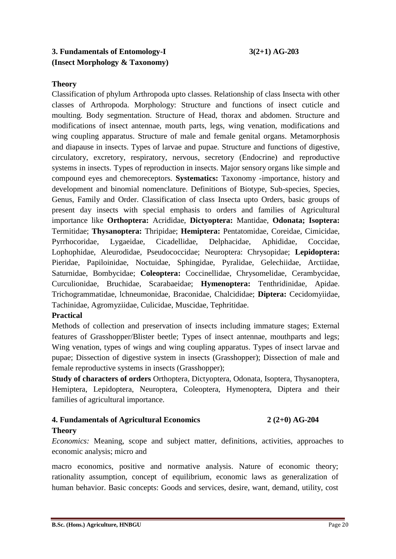# **3. Fundamentals of Entomology-I 3(2+1) AG-203 (Insect Morphology & Taxonomy)**

# **Theory**

Classification of phylum Arthropoda upto classes. Relationship of class Insecta with other classes of Arthropoda. Morphology: Structure and functions of insect cuticle and moulting. Body segmentation. Structure of Head, thorax and abdomen. Structure and modifications of insect antennae, mouth parts, legs, wing venation, modifications and wing coupling apparatus. Structure of male and female genital organs. Metamorphosis and diapause in insects. Types of larvae and pupae. Structure and functions of digestive, circulatory, excretory, respiratory, nervous, secretory (Endocrine) and reproductive systems in insects. Types of reproduction in insects. Major sensory organs like simple and compound eyes and chemoreceptors. **Systematics:** Taxonomy -importance, history and development and binomial nomenclature. Definitions of Biotype, Sub-species, Species, Genus, Family and Order. Classification of class Insecta upto Orders, basic groups of present day insects with special emphasis to orders and families of Agricultural importance like **Orthoptera:** Acrididae, **Dictyoptera:** Mantidae, **Odonata; Isoptera:**  Termitidae; **Thysanoptera:** Thripidae; **Hemiptera:** Pentatomidae, Coreidae, Cimicidae, Pyrrhocoridae, Lygaeidae, Cicadellidae, Delphacidae, Aphididae, Coccidae, Lophophidae, Aleurodidae, Pseudococcidae; Neuroptera: Chrysopidae; **Lepidoptera:**  Pieridae, Papiloinidae, Noctuidae, Sphingidae, Pyralidae, Gelechiidae, Arctiidae, Saturnidae, Bombycidae; **Coleoptera:** Coccinellidae, Chrysomelidae, Cerambycidae, Curculionidae, Bruchidae, Scarabaeidae; **Hymenoptera:** Tenthridinidae, Apidae. Trichogrammatidae, lchneumonidae, Braconidae, Chalcididae; **Diptera:** Cecidomyiidae, Tachinidae, Agromyziidae, Culicidae, Muscidae, Tephritidae.

### **Practical**

Methods of collection and preservation of insects including immature stages; External features of Grasshopper/Blister beetle; Types of insect antennae, mouthparts and legs; Wing venation, types of wings and wing coupling apparatus. Types of insect larvae and pupae; Dissection of digestive system in insects (Grasshopper); Dissection of male and female reproductive systems in insects (Grasshopper);

**Study of characters of orders** Orthoptera, Dictyoptera, Odonata, Isoptera, Thysanoptera, Hemiptera, Lepidoptera, Neuroptera, Coleoptera, Hymenoptera, Diptera and their families of agricultural importance.

### **4. Fundamentals of Agricultural Economics 2 (2+0) AG-204 Theory**

# *Economics:* Meaning, scope and subject matter, definitions, activities, approaches to economic analysis; micro and

macro economics, positive and normative analysis. Nature of economic theory; rationality assumption, concept of equilibrium, economic laws as generalization of human behavior. Basic concepts: Goods and services, desire, want, demand, utility, cost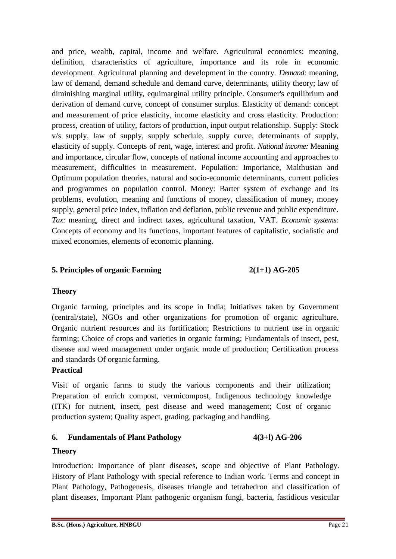and price, wealth, capital, income and welfare. Agricultural economics: meaning, definition, characteristics of agriculture, importance and its role in economic development. Agricultural planning and development in the country. *Demand:* meaning, law of demand, demand schedule and demand curve, determinants, utility theory; law of diminishing marginal utility, equimarginal utility principle. Consumer's equilibrium and derivation of demand curve, concept of consumer surplus. Elasticity of demand: concept and measurement of price elasticity, income elasticity and cross elasticity. Production: process, creation of utility, factors of production, input output relationship. Supply: Stock v/s supply, law of supply, supply schedule, supply curve, determinants of supply, elasticity of supply. Concepts of rent, wage, interest and profit. *National income:* Meaning and importance, circular flow, concepts of national income accounting and approaches to measurement, difficulties in measurement. Population: Importance, Malthusian and Optimum population theories, natural and socio-economic determinants, current policies and programmes on population control. Money: Barter system of exchange and its problems, evolution, meaning and functions of money, classification of money, money supply, general price index, inflation and deflation, public revenue and public expenditure. *Tax:* meaning, direct and indirect taxes, agricultural taxation, VAT. *Economic systems:*  Concepts of economy and its functions, important features of capitalistic, socialistic and mixed economies, elements of economic planning.

### **5. Principles of organic Farming 2(1+1) AG-205**

### **Theory**

Organic farming, principles and its scope in India; Initiatives taken by Government (central/state), NGOs and other organizations for promotion of organic agriculture. Organic nutrient resources and its fortification; Restrictions to nutrient use in organic farming; Choice of crops and varieties in organic farming; Fundamentals of insect, pest, disease and weed management under organic mode of production; Certification process and standards Of organic farming.

### **Practical**

Visit of organic farms to study the various components and their utilization; Preparation of enrich compost, vermicompost, Indigenous technology knowledge (ITK) for nutrient, insect, pest disease and weed management; Cost of organic production system; Quality aspect, grading, packaging and handling.

#### **6. Fundamentals of Plant Pathology 4(3+l) AG-206**

#### **Theory**

Introduction: Importance of plant diseases, scope and objective of Plant Pathology. History of Plant Pathology with special reference to Indian work. Terms and concept in Plant Pathology, Pathogenesis, diseases triangle and tetrahedron and classification of plant diseases, Important Plant pathogenic organism fungi, bacteria, fastidious vesicular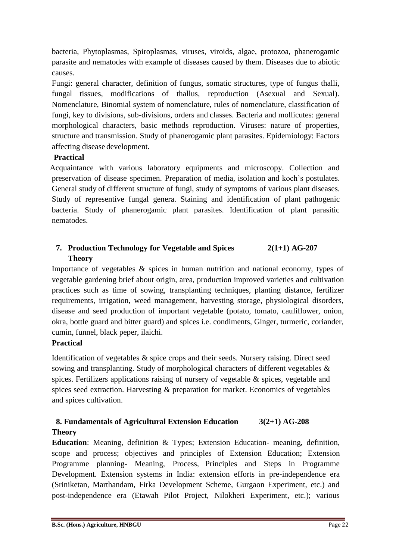bacteria, Phytoplasmas, Spiroplasmas, viruses, viroids, algae, protozoa, phanerogamic parasite and nematodes with example of diseases caused by them. Diseases due to abiotic causes.

Fungi: general character, definition of fungus, somatic structures, type of fungus thalli, fungal tissues, modifications of thallus, reproduction (Asexual and Sexual). Nomenclature, Binomial system of nomenclature, rules of nomenclature, classification of fungi, key to divisions, sub-divisions, orders and classes. Bacteria and mollicutes: general morphological characters, basic methods reproduction. Viruses: nature of properties, structure and transmission. Study of phanerogamic plant parasites. Epidemiology: Factors affecting disease development.

# **Practical**

Acquaintance with various laboratory equipments and microscopy. Collection and preservation of disease specimen. Preparation of media, isolation and koch's postulates. General study of different structure of fungi, study of symptoms of various plant diseases. Study of representive fungal genera. Staining and identification of plant pathogenic bacteria. Study of phanerogamic plant parasites. Identification of plant parasitic nematodes.

# **7. Production Technology for Vegetable and Spices 2(1+1) AG-207 Theory**

Importance of vegetables & spices in human nutrition and national economy, types of vegetable gardening brief about origin, area, production improved varieties and cultivation practices such as time of sowing, transplanting techniques, planting distance, fertilizer requirements, irrigation, weed management, harvesting storage, physiological disorders, disease and seed production of important vegetable (potato, tomato, cauliflower, onion, okra, bottle guard and bitter guard) and spices i.e. condiments, Ginger, turmeric, coriander, cumin, funnel, black peper, ilaichi.

# **Practical**

Identification of vegetables & spice crops and their seeds. Nursery raising. Direct seed sowing and transplanting. Study of morphological characters of different vegetables & spices. Fertilizers applications raising of nursery of vegetable & spices, vegetable and spices seed extraction. Harvesting & preparation for market. Economics of vegetables and spices cultivation.

# **8. Fundamentals of Agricultural Extension Education 3(2+1) AG-208 Theory**

**Education**: Meaning, definition & Types; Extension Education- meaning, definition, scope and process; objectives and principles of Extension Education; Extension Programme planning- Meaning, Process, Principles and Steps in Programme Development. Extension systems in India: extension efforts in pre-independence era (Sriniketan, Marthandam, Firka Development Scheme, Gurgaon Experiment, etc.) and post-independence era (Etawah Pilot Project, Nilokheri Experiment, etc.); various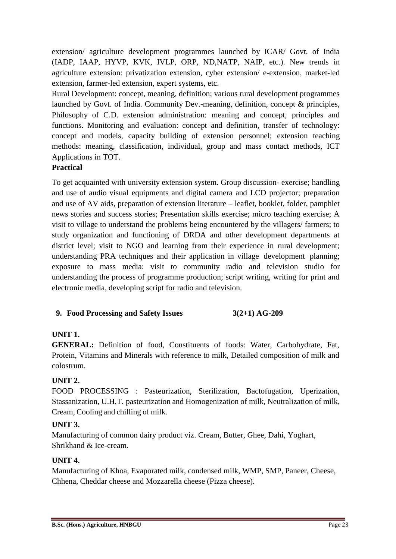extension/ agriculture development programmes launched by ICAR/ Govt. of India (IADP, IAAP, HYVP, KVK, IVLP, ORP, ND,NATP, NAIP, etc.). New trends in agriculture extension: privatization extension, cyber extension/ e-extension, market-led extension, farmer-led extension, expert systems, etc.

Rural Development: concept, meaning, definition; various rural development programmes launched by Govt. of India. Community Dev.-meaning, definition, concept & principles, Philosophy of C.D. extension administration: meaning and concept, principles and functions. Monitoring and evaluation: concept and definition, transfer of technology: concept and models, capacity building of extension personnel; extension teaching methods: meaning, classification, individual, group and mass contact methods, ICT Applications in TOT.

# **Practical**

To get acquainted with university extension system. Group discussion- exercise; handling and use of audio visual equipments and digital camera and LCD projector; preparation and use of AV aids, preparation of extension literature – leaflet, booklet, folder, pamphlet news stories and success stories; Presentation skills exercise; micro teaching exercise; A visit to village to understand the problems being encountered by the villagers/ farmers; to study organization and functioning of DRDA and other development departments at district level; visit to NGO and learning from their experience in rural development; understanding PRA techniques and their application in village development planning; exposure to mass media: visit to community radio and television studio for understanding the process of programme production; script writing, writing for print and electronic media, developing script for radio and television.

# **9. Food Processing and Safety Issues 3(2+1) AG-209**

# **UNIT 1.**

**GENERAL:** Definition of food, Constituents of foods: Water, Carbohydrate, Fat, Protein, Vitamins and Minerals with reference to milk, Detailed composition of milk and colostrum.

# **UNIT 2.**

FOOD PROCESSING : Pasteurization, Sterilization, Bactofugation, Uperization, Stassanization, U.H.T. pasteurization and Homogenization of milk, Neutralization of milk, Cream, Cooling and chilling of milk.

# **UNIT 3.**

Manufacturing of common dairy product viz. Cream, Butter, Ghee, Dahi, Yoghart, Shrikhand & Ice-cream.

# **UNIT 4.**

Manufacturing of Khoa, Evaporated milk, condensed milk, WMP, SMP, Paneer, Cheese, Chhena, Cheddar cheese and Mozzarella cheese (Pizza cheese).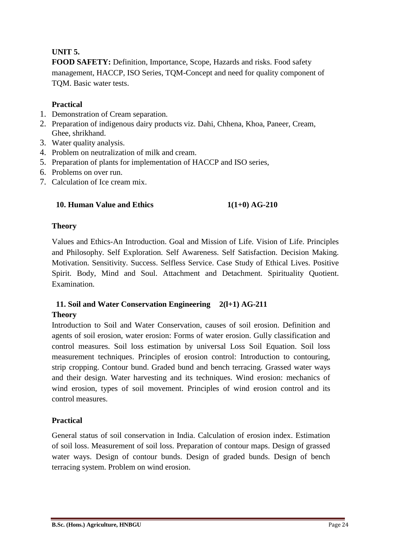# **UNIT 5.**

**FOOD SAFETY:** Definition, Importance, Scope, Hazards and risks. Food safety management, HACCP, ISO Series, TQM-Concept and need for quality component of TQM. Basic water tests.

# **Practical**

- 1. Demonstration of Cream separation.
- 2. Preparation of indigenous dairy products viz. Dahi, Chhena, Khoa, Paneer, Cream, Ghee, shrikhand.
- 3. Water quality analysis.
- 4. Problem on neutralization of milk and cream.
- 5. Preparation of plants for implementation of HACCP and ISO series,
- 6. Problems on over run.
- 7. Calculation of Ice cream mix.

# **10. Human Value and Ethics 1(1+0) AG-210**

# **Theory**

Values and Ethics-An Introduction. Goal and Mission of Life. Vision of Life. Principles and Philosophy. Self Exploration. Self Awareness. Self Satisfaction. Decision Making. Motivation. Sensitivity. Success. Selfless Service. Case Study of Ethical Lives. Positive Spirit. Body, Mind and Soul. Attachment and Detachment. Spirituality Quotient. Examination.

# **11. Soil and Water Conservation Engineering 2(l+1) AG-211 Theory**

Introduction to Soil and Water Conservation, causes of soil erosion. Definition and agents of soil erosion, water erosion: Forms of water erosion. Gully classification and control measures. Soil loss estimation by universal Loss Soil Equation. Soil loss measurement techniques. Principles of erosion control: Introduction to contouring, strip cropping. Contour bund. Graded bund and bench terracing. Grassed water ways and their design. Water harvesting and its techniques. Wind erosion: mechanics of wind erosion, types of soil movement. Principles of wind erosion control and its control measures.

# **Practical**

General status of soil conservation in India. Calculation of erosion index. Estimation of soil loss. Measurement of soil loss. Preparation of contour maps. Design of grassed water ways. Design of contour bunds. Design of graded bunds. Design of bench terracing system. Problem on wind erosion.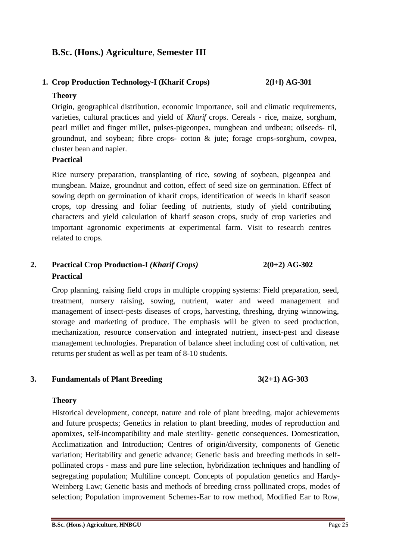# **B.Sc. (Hons.) Agriculture**, **Semester III**

# **1. Crop Production Technology-I (Kharif Crops) 2(l+l) AG-301**

#### **Theory**

Origin, geographical distribution, economic importance, soil and climatic requirements, varieties, cultural practices and yield of *Kharif* crops. Cereals - rice, maize, sorghum, pearl millet and finger millet, pulses-pigeonpea, mungbean and urdbean; oilseeds- til, groundnut, and soybean; fibre crops- cotton & jute; forage crops-sorghum, cowpea, cluster bean and napier.

#### **Practical**

Rice nursery preparation, transplanting of rice, sowing of soybean, pigeonpea and mungbean. Maize, groundnut and cotton, effect of seed size on germination. Effect of sowing depth on germination of kharif crops, identification of weeds in kharif season crops, top dressing and foliar feeding of nutrients, study of yield contributing characters and yield calculation of kharif season crops, study of crop varieties and important agronomic experiments at experimental farm. Visit to research centres related to crops.

# **2. Practical Crop Production-I** *(Kharif Crops)* **2(0+2) AG-302 Practical**

Crop planning, raising field crops in multiple cropping systems: Field preparation, seed, treatment, nursery raising, sowing, nutrient, water and weed management and management of insect-pests diseases of crops, harvesting, threshing, drying winnowing, storage and marketing of produce. The emphasis will be given to seed production, mechanization, resource conservation and integrated nutrient, insect-pest and disease management technologies. Preparation of balance sheet including cost of cultivation, net returns per student as well as per team of 8-10 students.

#### **3. Fundamentals of Plant Breeding 3(2+1) AG-303**

### **Theory**

Historical development, concept, nature and role of plant breeding, major achievements and future prospects; Genetics in relation to plant breeding, modes of reproduction and apomixes, self-incompatibility and male sterility- genetic consequences. Domestication, Acclimatization and Introduction; Centres of origin/diversity, components of Genetic variation; Heritability and genetic advance; Genetic basis and breeding methods in selfpollinated crops - mass and pure line selection, hybridization techniques and handling of segregating population; Multiline concept. Concepts of population genetics and Hardy-Weinberg Law; Genetic basis and methods of breeding cross pollinated crops, modes of selection; Population improvement Schemes-Ear to row method, Modified Ear to Row,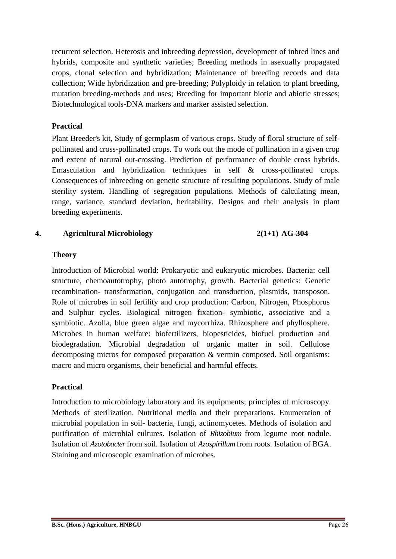recurrent selection. Heterosis and inbreeding depression, development of inbred lines and hybrids, composite and synthetic varieties; Breeding methods in asexually propagated crops, clonal selection and hybridization; Maintenance of breeding records and data collection; Wide hybridization and pre-breeding; Polyploidy in relation to plant breeding, mutation breeding-methods and uses; Breeding for important biotic and abiotic stresses; Biotechnological tools-DNA markers and marker assisted selection.

### **Practical**

Plant Breeder's kit, Study of germplasm of various crops. Study of floral structure of selfpollinated and cross-pollinated crops. To work out the mode of pollination in a given crop and extent of natural out-crossing. Prediction of performance of double cross hybrids. Emasculation and hybridization techniques in self & cross-pollinated crops. Consequences of inbreeding on genetic structure of resulting populations. Study of male sterility system. Handling of segregation populations. Methods of calculating mean, range, variance, standard deviation, heritability. Designs and their analysis in plant breeding experiments.

# **4. Agricultural Microbiology 2(1+1) AG-304**

### **Theory**

Introduction of Microbial world: Prokaryotic and eukaryotic microbes. Bacteria: cell structure, chemoautotrophy, photo autotrophy, growth. Bacterial genetics: Genetic recombination- transformation, conjugation and transduction, plasmids, transposon. Role of microbes in soil fertility and crop production: Carbon, Nitrogen, Phosphorus and Sulphur cycles. Biological nitrogen fixation- symbiotic, associative and a symbiotic. Azolla, blue green algae and mycorrhiza. Rhizosphere and phyllosphere. Microbes in human welfare: biofertilizers, biopesticides, biofuel production and biodegradation. Microbial degradation of organic matter in soil. Cellulose decomposing micros for composed preparation & vermin composed. Soil organisms: macro and micro organisms, their beneficial and harmful effects.

# **Practical**

Introduction to microbiology laboratory and its equipments; principles of microscopy. Methods of sterilization. Nutritional media and their preparations. Enumeration of microbial population in soil- bacteria, fungi, actinomycetes. Methods of isolation and purification of microbial cultures. Isolation of *Rhizobium* from legume root nodule. Isolation of *Azotobacter*from soil. Isolation of *Azospirillum* from roots. Isolation of BGA. Staining and microscopic examination of microbes.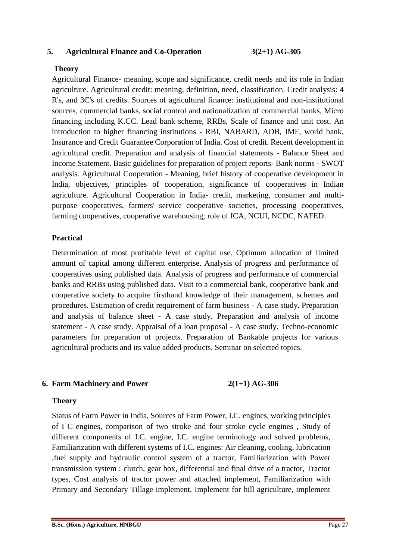#### **5. Agricultural Finance and Co-Operation 3(2+1) AG-305**

### **Theory**

Agricultural Finance- meaning, scope and significance, credit needs and its role in Indian agriculture. Agricultural credit: meaning, definition, need, classification. Credit analysis: 4 R's, and 3C's of credits. Sources of agricultural finance: institutional and non-institutional sources, commercial banks, social control and nationalization of commercial banks, Micro financing including K.CC. Lead bank scheme, RRBs, Scale of finance and unit cost. An introduction to higher financing institutions - RBI, NABARD, ADB, IMF, world bank, Insurance and Credit Guarantee Corporation of India. Cost of credit. Recent development in agricultural credit. Preparation and analysis of financial statements - Balance Sheet and Income Statement. Basic guidelines for preparation of project reports- Bank norms - SWOT analysis. Agricultural Cooperation - Meaning, brief history of cooperative development in India, objectives, principles of cooperation, significance of cooperatives in Indian agriculture. Agricultural Cooperation in India- credit, marketing, consumer and multipurpose cooperatives, farmers' service cooperative societies, processing cooperatives, farming cooperatives, cooperative warehousing; role of ICA, NCUI, NCDC, NAFED.

#### **Practical**

Determination of most profitable level of capital use. Optimum allocation of limited amount of capital among different enterprise. Analysis of progress and performance of cooperatives using published data. Analysis of progress and performance of commercial banks and RRBs using published data. Visit to a commercial bank, cooperative bank and cooperative society to acquire firsthand knowledge of their management, schemes and procedures. Estimation of credit requirement of farm business - A case study. Preparation and analysis of balance sheet - A case study. Preparation and analysis of income statement - A case study. Appraisal of a loan proposal - A case study. Techno-economic parameters for preparation of projects. Preparation of Bankable projects for various agricultural products and its value added products. Seminar on selected topics.

#### **6. Farm Machinery and Power 2(1+1) AG-306**

#### **Theory**

Status of Farm Power in India, Sources of Farm Power, I.C. engines, working principles of I C engines, comparison of two stroke and four stroke cycle engines , Study of different components of I.C. engine, I.C. engine terminology and solved problems, Familiarization with different systems of I.C. engines: Air cleaning, cooling, lubrication ,fuel supply and hydraulic control system of a tractor, Familiarization with Power transmission system : clutch, gear box, differential and final drive of a tractor, Tractor types, Cost analysis of tractor power and attached implement, Familiarization with Primary and Secondary Tillage implement, Implement for hill agriculture, implement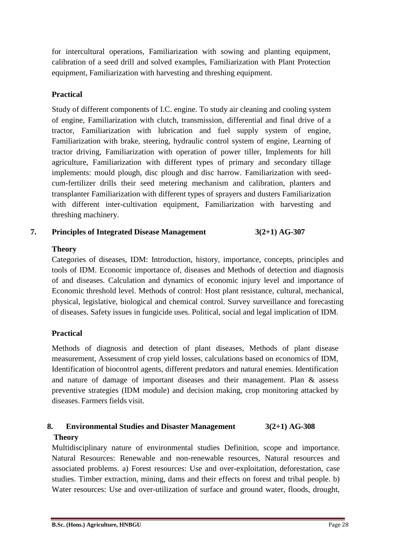for intercultural operations, Familiarization with sowing and planting equipment, calibration of a seed drill and solved examples, Familiarization with Plant Protection equipment. Familiarization with harvesting and threshing equipment.

# **Practical**

Study of different components of I.C. engine. To study air cleaning and cooling system of engine, Familiarization with clutch, transmission, differential and final drive of a tractor, Familiarization with lubrication and fuel supply system of engine, Familiarization with brake, steering, hydraulic control system of engine, Learning of tractor driving, Familiarization with operation of power tiller, Implements for hill agriculture, Familiarization with different types of primary and secondary tillage implements: mould plough, disc plough and disc harrow. Familiarization with seedcum-fertilizer drills their seed metering mechanism and calibration, planters and transplanter Familiarization with different types of sprayers and dusters Familiarization with different inter-cultivation equipment, Familiarization with harvesting and threshing machinery.

# **7. Principles of Integrated Disease Management 3(2+1) AG-307**

# **Theory**

Categories of diseases, IDM: Introduction, history, importance, concepts, principles and tools of IDM. Economic importance of, diseases and Methods of detection and diagnosis of and diseases. Calculation and dynamics of economic injury level and importance of Economic threshold level. Methods of control: Host plant resistance, cultural, mechanical, physical, legislative, biological and chemical control. Survey surveillance and forecasting of diseases. Safety issues in fungicide uses. Political, social and legal implication of IDM.

# **Practical**

Methods of diagnosis and detection of plant diseases, Methods of plant disease measurement, Assessment of crop yield losses, calculations based on economics of IDM, Identification of biocontrol agents, different predators and natural enemies. Identification and nature of damage of important diseases and their management. Plan & assess preventive strategies (IDM module) and decision making, crop monitoring attacked by diseases. Farmers fields visit.

# **8. Environmental Studies and Disaster Management 3(2+1) AG-308 Theory**

Multidisciplinary nature of environmental studies Definition, scope and importance. Natural Resources: Renewable and non-renewable resources, Natural resources and associated problems. a) Forest resources: Use and over-exploitation, deforestation, case studies. Timber extraction, mining, dams and their effects on forest and tribal people. b) Water resources: Use and over-utilization of surface and ground water, floods, drought,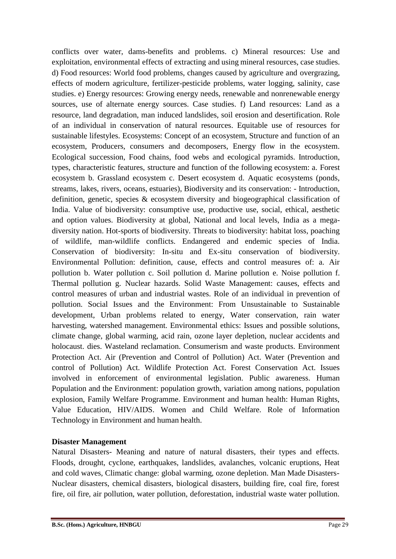conflicts over water, dams-benefits and problems. c) Mineral resources: Use and exploitation, environmental effects of extracting and using mineral resources, case studies. d) Food resources: World food problems, changes caused by agriculture and overgrazing, effects of modern agriculture, fertilizer-pesticide problems, water logging, salinity, case studies. e) Energy resources: Growing energy needs, renewable and nonrenewable energy sources, use of alternate energy sources. Case studies. f) Land resources: Land as a resource, land degradation, man induced landslides, soil erosion and desertification. Role of an individual in conservation of natural resources. Equitable use of resources for sustainable lifestyles. Ecosystems: Concept of an ecosystem, Structure and function of an ecosystem, Producers, consumers and decomposers, Energy flow in the ecosystem. Ecological succession, Food chains, food webs and ecological pyramids. Introduction, types, characteristic features, structure and function of the following ecosystem: a. Forest ecosystem b. Grassland ecosystem c. Desert ecosystem d. Aquatic ecosystems (ponds, streams, lakes, rivers, oceans, estuaries), Biodiversity and its conservation: - Introduction, definition, genetic, species & ecosystem diversity and biogeographical classification of India. Value of biodiversity: consumptive use, productive use, social, ethical, aesthetic and option values. Biodiversity at global, National and local levels, India as a megadiversity nation. Hot-sports of biodiversity. Threats to biodiversity: habitat loss, poaching of wildlife, man-wildlife conflicts. Endangered and endemic species of India. Conservation of biodiversity: In-situ and Ex-situ conservation of biodiversity. Environmental Pollution: definition, cause, effects and control measures of: a. Air pollution b. Water pollution c. Soil pollution d. Marine pollution e. Noise pollution f. Thermal pollution g. Nuclear hazards. Solid Waste Management: causes, effects and control measures of urban and industrial wastes. Role of an individual in prevention of pollution. Social Issues and the Environment: From Unsustainable to Sustainable development, Urban problems related to energy, Water conservation, rain water harvesting, watershed management. Environmental ethics: Issues and possible solutions, climate change, global warming, acid rain, ozone layer depletion, nuclear accidents and holocaust. dies. Wasteland reclamation. Consumerism and waste products. Environment Protection Act. Air (Prevention and Control of Pollution) Act. Water (Prevention and control of Pollution) Act. Wildlife Protection Act. Forest Conservation Act. Issues involved in enforcement of environmental legislation. Public awareness. Human Population and the Environment: population growth, variation among nations, population explosion, Family Welfare Programme. Environment and human health: Human Rights, Value Education, HIV/AIDS. Women and Child Welfare. Role of Information Technology in Environment and human health.

### **Disaster Management**

Natural Disasters- Meaning and nature of natural disasters, their types and effects. Floods, drought, cyclone, earthquakes, landslides, avalanches, volcanic eruptions, Heat and cold waves, Climatic change: global warming, ozone depletion. Man Made Disasters-Nuclear disasters, chemical disasters, biological disasters, building fire, coal fire, forest fire, oil fire, air pollution, water pollution, deforestation, industrial waste water pollution.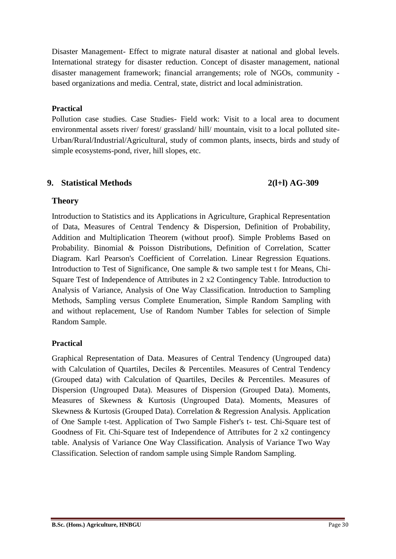Disaster Management- Effect to migrate natural disaster at national and global levels. International strategy for disaster reduction. Concept of disaster management, national disaster management framework; financial arrangements; role of NGOs, community based organizations and media. Central, state, district and local administration.

### **Practical**

Pollution case studies. Case Studies- Field work: Visit to a local area to document environmental assets river/ forest/ grassland/ hill/ mountain, visit to a local polluted site-Urban/Rural/Industrial/Agricultural, study of common plants, insects, birds and study of simple ecosystems-pond, river, hill slopes, etc.

### **9. Statistical Methods 2(l+l) AG-309**

# **Theory**

Introduction to Statistics and its Applications in Agriculture, Graphical Representation of Data, Measures of Central Tendency & Dispersion, Definition of Probability, Addition and Multiplication Theorem (without proof). Simple Problems Based on Probability. Binomial & Poisson Distributions, Definition of Correlation, Scatter Diagram. Karl Pearson's Coefficient of Correlation. Linear Regression Equations. Introduction to Test of Significance, One sample & two sample test t for Means, Chi-Square Test of Independence of Attributes in 2 x2 Contingency Table. Introduction to Analysis of Variance, Analysis of One Way Classification. Introduction to Sampling Methods, Sampling versus Complete Enumeration, Simple Random Sampling with and without replacement, Use of Random Number Tables for selection of Simple Random Sample.

### **Practical**

Graphical Representation of Data. Measures of Central Tendency (Ungrouped data) with Calculation of Quartiles, Deciles & Percentiles. Measures of Central Tendency (Grouped data) with Calculation of Quartiles, Deciles & Percentiles. Measures of Dispersion (Ungrouped Data). Measures of Dispersion (Grouped Data). Moments, Measures of Skewness & Kurtosis (Ungrouped Data). Moments, Measures of Skewness & Kurtosis (Grouped Data). Correlation & Regression Analysis. Application of One Sample t-test. Application of Two Sample Fisher's t- test. Chi-Square test of Goodness of Fit. Chi-Square test of Independence of Attributes for 2 x2 contingency table. Analysis of Variance One Way Classification. Analysis of Variance Two Way Classification. Selection of random sample using Simple Random Sampling.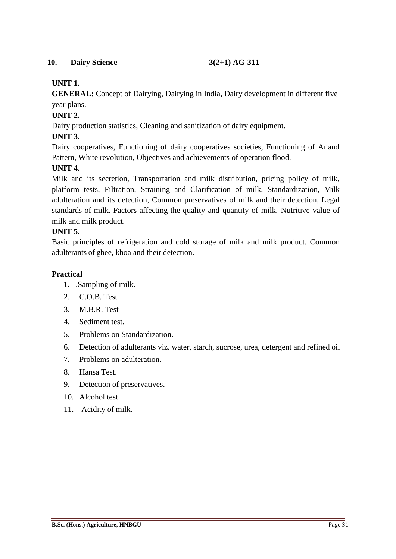# **10. Dairy Science 3(2+1) AG-311**

# **UNIT 1.**

**GENERAL:** Concept of Dairying, Dairying in India, Dairy development in different five year plans.

# **UNIT 2.**

Dairy production statistics, Cleaning and sanitization of dairy equipment.

# **UNIT 3.**

Dairy cooperatives, Functioning of dairy cooperatives societies, Functioning of Anand Pattern, White revolution, Objectives and achievements of operation flood.

# **UNIT 4.**

Milk and its secretion, Transportation and milk distribution, pricing policy of milk, platform tests, Filtration, Straining and Clarification of milk, Standardization, Milk adulteration and its detection, Common preservatives of milk and their detection, Legal standards of milk. Factors affecting the quality and quantity of milk, Nutritive value of milk and milk product.

### **UNIT 5.**

Basic principles of refrigeration and cold storage of milk and milk product. Common adulterants of ghee, khoa and their detection.

### **Practical**

- **1.** .Sampling of milk.
- 2. C.O.B. Test
- 3. M.B.R. Test
- 4. Sediment test.
- 5. Problems on Standardization.
- 6. Detection of adulterants viz. water, starch, sucrose, urea, detergent and refined oil
- 7. Problems on adulteration.
- 8. Hansa Test.
- 9. Detection of preservatives.
- 10. Alcohol test.
- 11. Acidity of milk.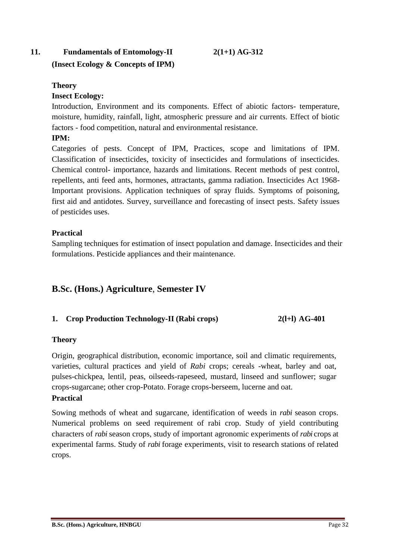# **11. Fundamentals of Entomology-II 2(1+1) AG-312**

# **(Insect Ecology & Concepts of IPM)**

### **Theory**

# **Insect Ecology:**

Introduction, Environment and its components. Effect of abiotic factors- temperature, moisture, humidity, rainfall, light, atmospheric pressure and air currents. Effect of biotic factors - food competition, natural and environmental resistance.

# **IPM:**

Categories of pests. Concept of IPM, Practices, scope and limitations of IPM. Classification of insecticides, toxicity of insecticides and formulations of insecticides. Chemical control- importance, hazards and limitations. Recent methods of pest control, repellents, anti feed ants, hormones, attractants, gamma radiation. Insecticides Act 1968- Important provisions. Application techniques of spray fluids. Symptoms of poisoning, first aid and antidotes. Survey, surveillance and forecasting of insect pests. Safety issues of pesticides uses.

# **Practical**

Sampling techniques for estimation of insect population and damage. Insecticides and their formulations. Pesticide appliances and their maintenance.

# **B.Sc. (Hons.) Agriculture**, **Semester IV**

# **1. Crop Production Technology-II (Rabi crops) 2(l+l) AG-401**

### **Theory**

Origin, geographical distribution, economic importance, soil and climatic requirements, varieties, cultural practices and yield of *Rabi* crops; cereals -wheat, barley and oat, pulses-chickpea, lentil, peas, oilseeds-rapeseed, mustard, linseed and sunflower; sugar crops-sugarcane; other crop-Potato. Forage crops-berseem, lucerne and oat. **Practical**

# Sowing methods of wheat and sugarcane, identification of weeds in *rabi* season crops. Numerical problems on seed requirement of rabi crop. Study of yield contributing characters of *rabi* season crops, study of important agronomic experiments of *rabi* crops at experimental farms. Study of *rabi* forage experiments, visit to research stations of related crops.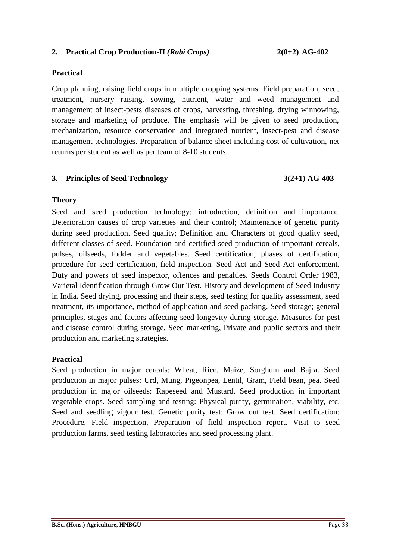#### **2. Practical Crop Production-II** *(Rabi Crops)* **2(0+2) AG-402**

#### **Practical**

Crop planning, raising field crops in multiple cropping systems: Field preparation, seed, treatment, nursery raising, sowing, nutrient, water and weed management and management of insect-pests diseases of crops, harvesting, threshing, drying winnowing, storage and marketing of produce. The emphasis will be given to seed production, mechanization, resource conservation and integrated nutrient, insect-pest and disease management technologies. Preparation of balance sheet including cost of cultivation, net returns per student as well as per team of 8-10 students.

### **3. Principles of Seed Technology 3(2+1) AG-403**

#### **Theory**

Seed and seed production technology: introduction, definition and importance. Deterioration causes of crop varieties and their control; Maintenance of genetic purity during seed production. Seed quality; Definition and Characters of good quality seed, different classes of seed. Foundation and certified seed production of important cereals, pulses, oilseeds, fodder and vegetables. Seed certification, phases of certification, procedure for seed certification, field inspection. Seed Act and Seed Act enforcement. Duty and powers of seed inspector, offences and penalties. Seeds Control Order 1983, Varietal Identification through Grow Out Test. History and development of Seed Industry in India. Seed drying, processing and their steps, seed testing for quality assessment, seed treatment, its importance, method of application and seed packing. Seed storage; general principles, stages and factors affecting seed longevity during storage. Measures for pest and disease control during storage. Seed marketing, Private and public sectors and their production and marketing strategies.

### **Practical**

Seed production in major cereals: Wheat, Rice, Maize, Sorghum and Bajra. Seed production in major pulses: Urd, Mung, Pigeonpea, Lentil, Gram, Field bean, pea. Seed production in major oilseeds: Rapeseed and Mustard. Seed production in important vegetable crops. Seed sampling and testing: Physical purity, germination, viability, etc. Seed and seedling vigour test. Genetic purity test: Grow out test. Seed certification: Procedure, Field inspection, Preparation of field inspection report. Visit to seed production farms, seed testing laboratories and seed processing plant.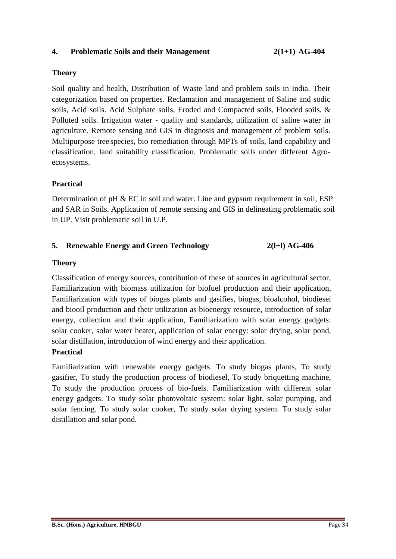#### **4. Problematic Soils and their Management 2(1+1) AG-404**

### **Theory**

Soil quality and health, Distribution of Waste land and problem soils in India. Their categorization based on properties. Reclamation and management of Saline and sodic soils, Acid soils. Acid Sulphate soils, Eroded and Compacted soils, Flooded soils, & Polluted soils. Irrigation water - quality and standards, utilization of saline water in agriculture. Remote sensing and GIS in diagnosis and management of problem soils. Multipurpose tree species, bio remediation through MPTs of soils, land capability and classification, land suitability classification. Problematic soils under different Agroecosystems.

#### **Practical**

Determination of pH & EC in soil and water. Line and gypsum requirement in soil, ESP and SAR in Soils. Application of remote sensing and GIS in delineating problematic soil in UP. Visit problematic soil in U.P.

# **5. Renewable Energy and Green Technology 2(l+l) AG-406**

#### **Theory**

Classification of energy sources, contribution of these of sources in agricultural sector, Familiarization with biomass utilization for biofuel production and their application, Familiarization with types of biogas plants and gasifies, biogas, bioalcohol, biodiesel and biooil production and their utilization as bioenergy resource, introduction of solar energy, collection and their application, Familiarization with solar energy gadgets: solar cooker, solar water heater, application of solar energy: solar drying, solar pond, solar distillation, introduction of wind energy and their application.

### **Practical**

Familiarization with renewable energy gadgets. To study biogas plants, To study gasifier, To study the production process of biodiesel, To study briquetting machine, To study the production process of bio-fuels. Familiarization with different solar energy gadgets. To study solar photovoltaic system: solar light, solar pumping, and solar fencing. To study solar cooker, To study solar drying system. To study solar distillation and solar pond.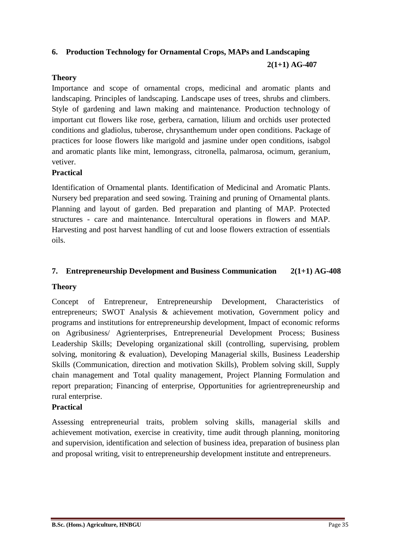# **6. Production Technology for Ornamental Crops, MAPs and Landscaping**

**2(1+1) AG-407** 

# **Theory**

Importance and scope of ornamental crops, medicinal and aromatic plants and landscaping. Principles of landscaping. Landscape uses of trees, shrubs and climbers. Style of gardening and lawn making and maintenance. Production technology of important cut flowers like rose, gerbera, carnation, lilium and orchids user protected conditions and gladiolus, tuberose, chrysanthemum under open conditions. Package of practices for loose flowers like marigold and jasmine under open conditions, isabgol and aromatic plants like mint, lemongrass, citronella, palmarosa, ocimum, geranium, vetiver.

# **Practical**

Identification of Ornamental plants. Identification of Medicinal and Aromatic Plants. Nursery bed preparation and seed sowing. Training and pruning of Ornamental plants. Planning and layout of garden. Bed preparation and planting of MAP. Protected structures - care and maintenance. Intercultural operations in flowers and MAP. Harvesting and post harvest handling of cut and loose flowers extraction of essentials oils.

# **7. Entrepreneurship Development and Business Communication 2(1+1) AG-408**

# **Theory**

Concept of Entrepreneur, Entrepreneurship Development, Characteristics of entrepreneurs; SWOT Analysis & achievement motivation, Government policy and programs and institutions for entrepreneurship development, Impact of economic reforms on Agribusiness/ Agrienterprises, Entrepreneurial Development Process; Business Leadership Skills; Developing organizational skill (controlling, supervising, problem solving, monitoring & evaluation), Developing Managerial skills, Business Leadership Skills (Communication, direction and motivation Skills), Problem solving skill, Supply chain management and Total quality management, Project Planning Formulation and report preparation; Financing of enterprise, Opportunities for agrientrepreneurship and rural enterprise.

### **Practical**

Assessing entrepreneurial traits, problem solving skills, managerial skills and achievement motivation, exercise in creativity, time audit through planning, monitoring and supervision, identification and selection of business idea, preparation of business plan and proposal writing, visit to entrepreneurship development institute and entrepreneurs.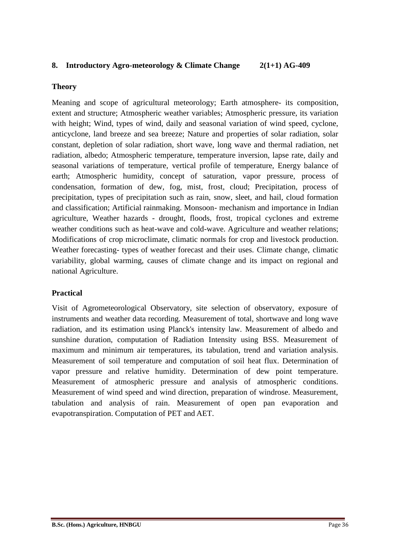# **8. Introductory Agro-meteorology & Climate Change 2(1+1) AG-409**

#### **Theory**

Meaning and scope of agricultural meteorology; Earth atmosphere- its composition, extent and structure; Atmospheric weather variables; Atmospheric pressure, its variation with height; Wind, types of wind, daily and seasonal variation of wind speed, cyclone, anticyclone, land breeze and sea breeze; Nature and properties of solar radiation, solar constant, depletion of solar radiation, short wave, long wave and thermal radiation, net radiation, albedo; Atmospheric temperature, temperature inversion, lapse rate, daily and seasonal variations of temperature, vertical profile of temperature, Energy balance of earth; Atmospheric humidity, concept of saturation, vapor pressure, process of condensation, formation of dew, fog, mist, frost, cloud; Precipitation, process of precipitation, types of precipitation such as rain, snow, sleet, and hail, cloud formation and classification; Artificial rainmaking. Monsoon- mechanism and importance in Indian agriculture, Weather hazards - drought, floods, frost, tropical cyclones and extreme weather conditions such as heat-wave and cold-wave. Agriculture and weather relations; Modifications of crop microclimate, climatic normals for crop and livestock production. Weather forecasting- types of weather forecast and their uses. Climate change, climatic variability, global warming, causes of climate change and its impact on regional and national Agriculture.

### **Practical**

Visit of Agrometeorological Observatory, site selection of observatory, exposure of instruments and weather data recording. Measurement of total, shortwave and long wave radiation, and its estimation using Planck's intensity law. Measurement of albedo and sunshine duration, computation of Radiation Intensity using BSS. Measurement of maximum and minimum air temperatures, its tabulation, trend and variation analysis. Measurement of soil temperature and computation of soil heat flux. Determination of vapor pressure and relative humidity. Determination of dew point temperature. Measurement of atmospheric pressure and analysis of atmospheric conditions. Measurement of wind speed and wind direction, preparation of windrose. Measurement, tabulation and analysis of rain. Measurement of open pan evaporation and evapotranspiration. Computation of PET and AET.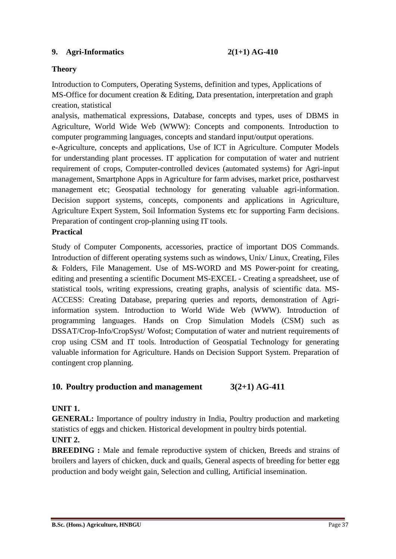### **9. Agri-Informatics 2(1+1) AG-410**

### **Theory**

Introduction to Computers, Operating Systems, definition and types, Applications of MS-Office for document creation & Editing, Data presentation, interpretation and graph creation, statistical

analysis, mathematical expressions, Database, concepts and types, uses of DBMS in Agriculture, World Wide Web (WWW): Concepts and components. Introduction to computer programming languages, concepts and standard input/output operations.

e-Agriculture, concepts and applications, Use of ICT in Agriculture. Computer Models for understanding plant processes. IT application for computation of water and nutrient requirement of crops, Computer-controlled devices (automated systems) for Agri-input management, Smartphone Apps in Agriculture for farm advises, market price, postharvest management etc; Geospatial technology for generating valuable agri-information. Decision support systems, concepts, components and applications in Agriculture, Agriculture Expert System, Soil Information Systems etc for supporting Farm decisions. Preparation of contingent crop-planning using IT tools.

# **Practical**

Study of Computer Components, accessories, practice of important DOS Commands. Introduction of different operating systems such as windows, Unix/ Linux, Creating, Files & Folders, File Management. Use of MS-WORD and MS Power-point for creating, editing and presenting a scientific Document MS-EXCEL - Creating a spreadsheet, use of statistical tools, writing expressions, creating graphs, analysis of scientific data. MS-ACCESS: Creating Database, preparing queries and reports, demonstration of Agriinformation system. Introduction to World Wide Web (WWW). Introduction of programming languages. Hands on Crop Simulation Models (CSM) such as DSSAT/Crop-Info/CropSyst/ Wofost; Computation of water and nutrient requirements of crop using CSM and IT tools. Introduction of Geospatial Technology for generating valuable information for Agriculture. Hands on Decision Support System. Preparation of contingent crop planning.

### **10. Poultry production and management 3(2+1) AG-411**

### **UNIT 1.**

**GENERAL:** Importance of poultry industry in India, Poultry production and marketing statistics of eggs and chicken. Historical development in poultry birds potential.

# **UNIT 2.**

**BREEDING :** Male and female reproductive system of chicken, Breeds and strains of broilers and layers of chicken, duck and quails, General aspects of breeding for better egg production and body weight gain, Selection and culling, Artificial insemination.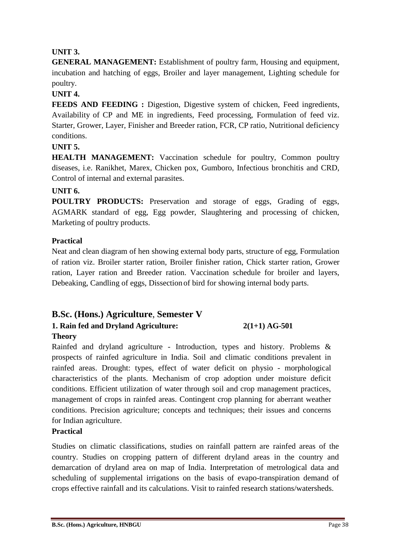# **UNIT 3.**

**GENERAL MANAGEMENT:** Establishment of poultry farm, Housing and equipment, incubation and hatching of eggs, Broiler and layer management, Lighting schedule for poultry.

### **UNIT 4.**

**FEEDS AND FEEDING :** Digestion, Digestive system of chicken, Feed ingredients, Availability of CP and ME in ingredients, Feed processing, Formulation of feed viz. Starter, Grower, Layer, Finisher and Breeder ration, FCR, CP ratio, Nutritional deficiency conditions.

# **UNIT 5.**

**HEALTH MANAGEMENT:** Vaccination schedule for poultry, Common poultry diseases, i.e. Ranikhet, Marex, Chicken pox, Gumboro, Infectious bronchitis and CRD, Control of internal and external parasites.

### **UNIT 6.**

**POULTRY PRODUCTS:** Preservation and storage of eggs, Grading of eggs, AGMARK standard of egg, Egg powder, Slaughtering and processing of chicken, Marketing of poultry products.

# **Practical**

Neat and clean diagram of hen showing external body parts, structure of egg, Formulation of ration viz. Broiler starter ration, Broiler finisher ration, Chick starter ration, Grower ration, Layer ration and Breeder ration. Vaccination schedule for broiler and layers, Debeaking, Candling of eggs, Dissection of bird for showing internal body parts.

# **B.Sc. (Hons.) Agriculture**, **Semester V**

# **1. Rain fed and Dryland Agriculture: 2(1+1) AG-501**

### **Theory**

Rainfed and dryland agriculture - Introduction, types and history. Problems & prospects of rainfed agriculture in India. Soil and climatic conditions prevalent in rainfed areas. Drought: types, effect of water deficit on physio - morphological characteristics of the plants. Mechanism of crop adoption under moisture deficit conditions. Efficient utilization of water through soil and crop management practices, management of crops in rainfed areas. Contingent crop planning for aberrant weather conditions. Precision agriculture; concepts and techniques; their issues and concerns for Indian agriculture.

# **Practical**

Studies on climatic classifications, studies on rainfall pattern are rainfed areas of the country. Studies on cropping pattern of different dryland areas in the country and demarcation of dryland area on map of India. Interpretation of metrological data and scheduling of supplemental irrigations on the basis of evapo-transpiration demand of crops effective rainfall and its calculations. Visit to rainfed research stations/watersheds.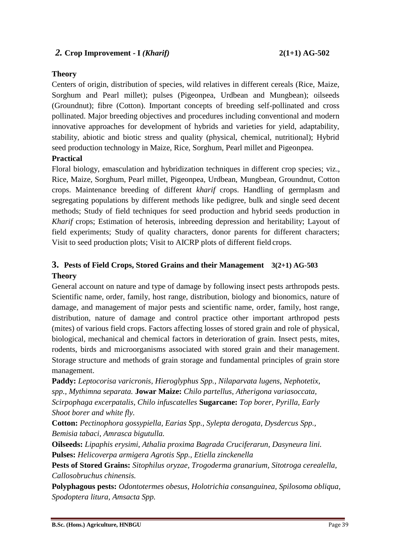# *2.* **Crop Improvement - I** *(Kharif)* **2(1+1) AG-502**

#### **Theory**

Centers of origin, distribution of species, wild relatives in different cereals (Rice, Maize, Sorghum and Pearl millet); pulses (Pigeonpea, Urdbean and Mungbean); oilseeds (Groundnut); fibre (Cotton). Important concepts of breeding self-pollinated and cross pollinated. Major breeding objectives and procedures including conventional and modern innovative approaches for development of hybrids and varieties for yield, adaptability, stability, abiotic and biotic stress and quality (physical, chemical, nutritional); Hybrid seed production technology in Maize, Rice, Sorghum, Pearl millet and Pigeonpea.

### **Practical**

Floral biology, emasculation and hybridization techniques in different crop species; viz., Rice, Maize, Sorghum, Pearl millet, Pigeonpea, Urdbean, Mungbean, Groundnut, Cotton crops. Maintenance breeding of different *kharif* crops. Handling of germplasm and segregating populations by different methods like pedigree, bulk and single seed decent methods; Study of field techniques for seed production and hybrid seeds production in *Kharif* crops; Estimation of heterosis, inbreeding depression and heritability; Layout of field experiments; Study of quality characters, donor parents for different characters; Visit to seed production plots; Visit to AICRP plots of different field crops.

# **3. Pests of Field Crops, Stored Grains and their Management 3(2+1) AG-503 Theory**

General account on nature and type of damage by following insect pests arthropods pests. Scientific name, order, family, host range, distribution, biology and bionomics, nature of damage, and management of major pests and scientific name, order, family, host range, distribution, nature of damage and control practice other important arthropod pests (mites) of various field crops. Factors affecting losses of stored grain and role of physical, biological, mechanical and chemical factors in deterioration of grain. Insect pests, mites, rodents, birds and microorganisms associated with stored grain and their management. Storage structure and methods of grain storage and fundamental principles of grain store management.

**Paddy:** *Leptocorisa varicronis, Hieroglyphus Spp., Nilaparvata lugens, Nephotetix, spp., Mythimna separata.* **Jowar Maize:** *Chilo partellus, Atherigona variasoccata, Scirpophaga excerpatalis, Chilo infuscatelles* **Sugarcane:** *Top borer, Pyrilla, Early Shoot borer and white fly.*

**Cotton:** *Pectinophora gossypiella, Earias Spp., Sylepta derogata, Dysdercus Spp., Bemisia tabaci, Amrasca bigutulla.*

**Oilseeds:** *Lipaphis erysimi, Athalia proxima Bagrada Cruciferarun, Dasyneura lini.* **Pulses:** *Helicoverpa armigera Agrotis Spp., Etiella zinckenella*

**Pests of Stored Grains:** *Sitophilus oryzae, Trogoderma granarium, Sitotroga cerealella, Callosobruchus chinensis.*

**Polyphagous pests:** *Odontotermes obesus, Holotrichia consanguinea, Spilosoma obliqua, Spodoptera litura, Amsacta Spp.*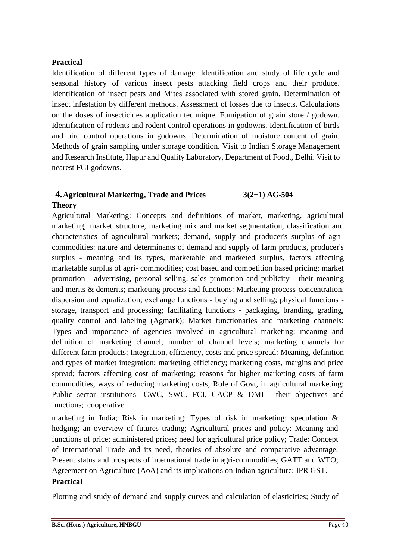# **Practical**

Identification of different types of damage. Identification and study of life cycle and seasonal history of various insect pests attacking field crops and their produce. Identification of insect pests and Mites associated with stored grain. Determination of insect infestation by different methods. Assessment of losses due to insects. Calculations on the doses of insecticides application technique. Fumigation of grain store / godown. Identification of rodents and rodent control operations in godowns. Identification of birds and bird control operations in godowns. Determination of moisture content of grain. Methods of grain sampling under storage condition. Visit to Indian Storage Management and Research Institute, Hapur and Quality Laboratory, Department of Food., Delhi. Visit to nearest FCI godowns.

# **4.Agricultural Marketing, Trade and Prices 3(2+1) AG-504**

# **Theory**

Agricultural Marketing: Concepts and definitions of market, marketing, agricultural marketing, market structure, marketing mix and market segmentation, classification and characteristics of agricultural markets; demand, supply and producer's surplus of agricommodities: nature and determinants of demand and supply of farm products, producer's surplus - meaning and its types, marketable and marketed surplus, factors affecting marketable surplus of agri- commodities; cost based and competition based pricing; market promotion - advertising, personal selling, sales promotion and publicity - their meaning and merits & demerits; marketing process and functions: Marketing process-concentration, dispersion and equalization; exchange functions - buying and selling; physical functions storage, transport and processing; facilitating functions - packaging, branding, grading, quality control and labeling (Agmark); Market functionaries and marketing channels: Types and importance of agencies involved in agricultural marketing; meaning and definition of marketing channel; number of channel levels; marketing channels for different farm products; Integration, efficiency, costs and price spread: Meaning, definition and types of market integration; marketing efficiency; marketing costs, margins and price spread; factors affecting cost of marketing; reasons for higher marketing costs of farm commodities; ways of reducing marketing costs; Role of Govt, in agricultural marketing: Public sector institutions- CWC, SWC, FCI, CACP & DMI - their objectives and functions; cooperative

marketing in India; Risk in marketing: Types of risk in marketing; speculation  $\&$ hedging; an overview of futures trading; Agricultural prices and policy: Meaning and functions of price; administered prices; need for agricultural price policy; Trade: Concept of International Trade and its need, theories of absolute and comparative advantage. Present status and prospects of international trade in agri-commodities; GATT and WTO; Agreement on Agriculture (AoA) and its implications on Indian agriculture; IPR GST. **Practical**

Plotting and study of demand and supply curves and calculation of elasticities; Study of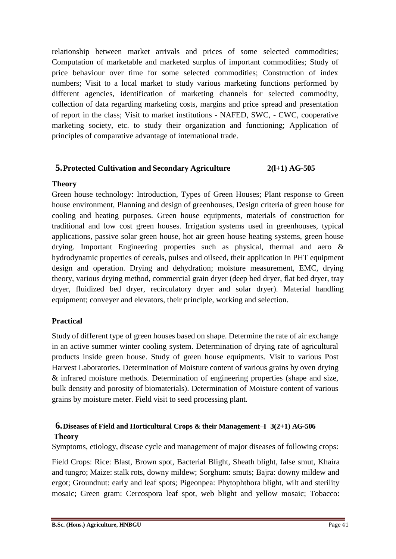relationship between market arrivals and prices of some selected commodities; Computation of marketable and marketed surplus of important commodities; Study of price behaviour over time for some selected commodities; Construction of index numbers; Visit to a local market to study various marketing functions performed by different agencies, identification of marketing channels for selected commodity, collection of data regarding marketing costs, margins and price spread and presentation of report in the class; Visit to market institutions - NAFED, SWC, - CWC, cooperative marketing society, etc. to study their organization and functioning; Application of principles of comparative advantage of international trade.

# **5.Protected Cultivation and Secondary Agriculture 2(l+1) AG-505**

### **Theory**

Green house technology: Introduction, Types of Green Houses; Plant response to Green house environment, Planning and design of greenhouses, Design criteria of green house for cooling and heating purposes. Green house equipments, materials of construction for traditional and low cost green houses. Irrigation systems used in greenhouses, typical applications, passive solar green house, hot air green house heating systems, green house drying. Important Engineering properties such as physical, thermal and aero & hydrodynamic properties of cereals, pulses and oilseed, their application in PHT equipment design and operation. Drying and dehydration; moisture measurement, EMC, drying theory, various drying method, commercial grain dryer (deep bed dryer, flat bed dryer, tray dryer, fluidized bed dryer, recirculatory dryer and solar dryer). Material handling equipment; conveyer and elevators, their principle, working and selection.

# **Practical**

Study of different type of green houses based on shape. Determine the rate of air exchange in an active summer winter cooling system. Determination of drying rate of agricultural products inside green house. Study of green house equipments. Visit to various Post Harvest Laboratories. Determination of Moisture content of various grains by oven drying & infrared moisture methods. Determination of engineering properties (shape and size, bulk density and porosity of biomaterials). Determination of Moisture content of various grains by moisture meter. Field visit to seed processing plant.

# **6.Diseases of Field and Horticultural Crops & their Management–I 3(2+1) AG-506 Theory**

Symptoms, etiology, disease cycle and management of major diseases of following crops:

Field Crops: Rice: Blast, Brown spot, Bacterial Blight, Sheath blight, false smut, Khaira and tungro; Maize: stalk rots, downy mildew; Sorghum: smuts; Bajra: downy mildew and ergot; Groundnut: early and leaf spots; Pigeonpea: Phytophthora blight, wilt and sterility mosaic; Green gram: Cercospora leaf spot, web blight and yellow mosaic; Tobacco: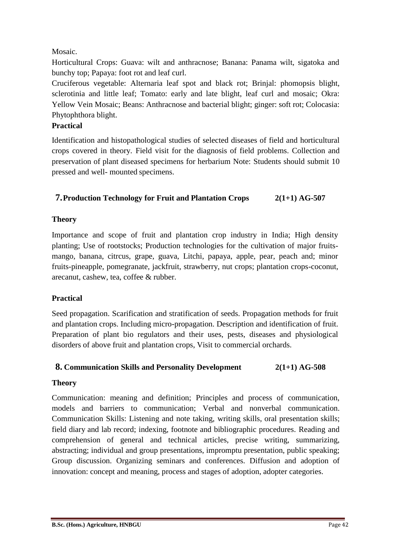# Mosaic.

Horticultural Crops: Guava: wilt and anthracnose; Banana: Panama wilt, sigatoka and bunchy top; Papaya: foot rot and leaf curl.

Cruciferous vegetable: Alternaria leaf spot and black rot; Brinjal: phomopsis blight, sclerotinia and little leaf; Tomato: early and late blight, leaf curl and mosaic; Okra: Yellow Vein Mosaic; Beans: Anthracnose and bacterial blight; ginger: soft rot; Colocasia: Phytophthora blight.

# **Practical**

Identification and histopathological studies of selected diseases of field and horticultural crops covered in theory. Field visit for the diagnosis of field problems. Collection and preservation of plant diseased specimens for herbarium Note: Students should submit 10 pressed and well- mounted specimens.

# **7.Production Technology for Fruit and Plantation Crops 2(1+1) AG-507**

# **Theory**

Importance and scope of fruit and plantation crop industry in India; High density planting; Use of rootstocks; Production technologies for the cultivation of major fruitsmango, banana, citrcus, grape, guava, Litchi, papaya, apple, pear, peach and; minor fruits-pineapple, pomegranate, jackfruit, strawberry, nut crops; plantation crops-coconut, arecanut, cashew, tea, coffee & rubber.

# **Practical**

Seed propagation. Scarification and stratification of seeds. Propagation methods for fruit and plantation crops. Including micro-propagation. Description and identification of fruit. Preparation of plant bio regulators and their uses, pests, diseases and physiological disorders of above fruit and plantation crops, Visit to commercial orchards.

# **8. Communication Skills and Personality Development 2(1+1) AG-508**

# **Theory**

Communication: meaning and definition; Principles and process of communication, models and barriers to communication; Verbal and nonverbal communication. Communication Skills: Listening and note taking, writing skills, oral presentation skills; field diary and lab record; indexing, footnote and bibliographic procedures. Reading and comprehension of general and technical articles, precise writing, summarizing, abstracting; individual and group presentations, impromptu presentation, public speaking; Group discussion. Organizing seminars and conferences. Diffusion and adoption of innovation: concept and meaning, process and stages of adoption, adopter categories.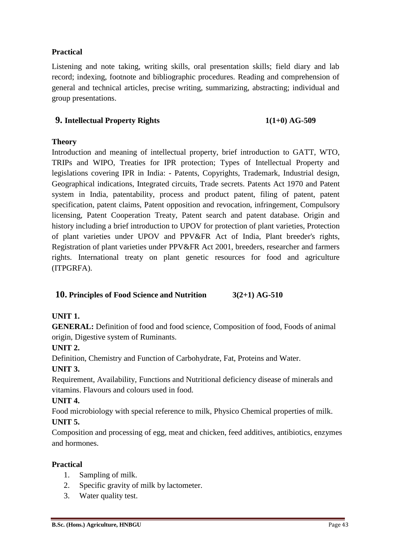# **Practical**

Listening and note taking, writing skills, oral presentation skills; field diary and lab record; indexing, footnote and bibliographic procedures. Reading and comprehension of general and technical articles, precise writing, summarizing, abstracting; individual and group presentations.

# **9. Intellectual Property Rights 1(1+0) AG-509**

# **Theory**

Introduction and meaning of intellectual property, brief introduction to GATT, WTO, TRIPs and WIPO, Treaties for IPR protection; Types of Intellectual Property and legislations covering IPR in India: - Patents, Copyrights, Trademark, Industrial design, Geographical indications, Integrated circuits, Trade secrets. Patents Act 1970 and Patent system in India, patentability, process and product patent, filing of patent, patent specification, patent claims, Patent opposition and revocation, infringement, Compulsory licensing, Patent Cooperation Treaty, Patent search and patent database. Origin and history including a brief introduction to UPOV for protection of plant varieties, Protection of plant varieties under UPOV and PPV&FR Act of India, Plant breeder's rights, Registration of plant varieties under PPV&FR Act 2001, breeders, researcher and farmers rights. International treaty on plant genetic resources for food and agriculture (ITPGRFA).

# **10. Principles of Food Science and Nutrition 3(2+1) AG-510**

# **UNIT 1.**

**GENERAL:** Definition of food and food science, Composition of food, Foods of animal origin, Digestive system of Ruminants.

**UNIT 2.**

Definition, Chemistry and Function of Carbohydrate, Fat, Proteins and Water.

# **UNIT 3.**

Requirement, Availability, Functions and Nutritional deficiency disease of minerals and vitamins. Flavours and colours used in food.

# **UNIT 4.**

Food microbiology with special reference to milk, Physico Chemical properties of milk.

# **UNIT 5.**

Composition and processing of egg, meat and chicken, feed additives, antibiotics, enzymes and hormones.

# **Practical**

- 1. Sampling of milk.
- 2. Specific gravity of milk by lactometer.
- 3. Water quality test.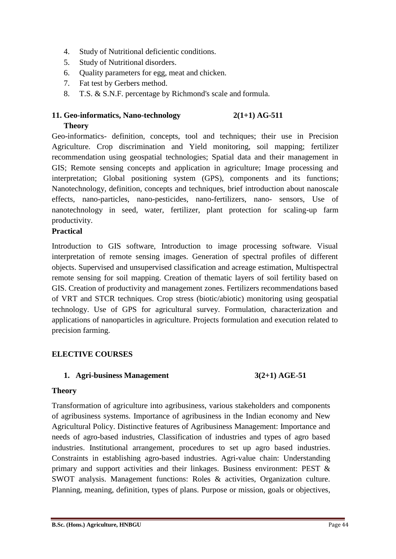- 4. Study of Nutritional deficientic conditions.
- 5. Study of Nutritional disorders.
- 6. Quality parameters for egg, meat and chicken.
- 7. Fat test by Gerbers method.
- 8. T.S. & S.N.F. percentage by Richmond's scale and formula.

### **11. Geo-informatics, Nano-technology 2(1+1) AG-511 Theory**

Geo-informatics- definition, concepts, tool and techniques; their use in Precision Agriculture. Crop discrimination and Yield monitoring, soil mapping; fertilizer recommendation using geospatial technologies; Spatial data and their management in GIS; Remote sensing concepts and application in agriculture; Image processing and interpretation; Global positioning system (GPS), components and its functions; Nanotechnology, definition, concepts and techniques, brief introduction about nanoscale effects, nano-particles, nano-pesticides, nano-fertilizers, nano- sensors, Use of nanotechnology in seed, water, fertilizer, plant protection for scaling-up farm productivity.

### **Practical**

Introduction to GIS software, Introduction to image processing software. Visual interpretation of remote sensing images. Generation of spectral profiles of different objects. Supervised and unsupervised classification and acreage estimation, Multispectral remote sensing for soil mapping. Creation of thematic layers of soil fertility based on GIS. Creation of productivity and management zones. Fertilizers recommendations based of VRT and STCR techniques. Crop stress (biotic/abiotic) monitoring using geospatial technology. Use of GPS for agricultural survey. Formulation, characterization and applications of nanoparticles in agriculture. Projects formulation and execution related to precision farming.

# **ELECTIVE COURSES**

### **1. Agri-business Management 3(2+1) AGE-51**

### **Theory**

Transformation of agriculture into agribusiness, various stakeholders and components of agribusiness systems. Importance of agribusiness in the Indian economy and New Agricultural Policy. Distinctive features of Agribusiness Management: Importance and needs of agro-based industries, Classification of industries and types of agro based industries. Institutional arrangement, procedures to set up agro based industries. Constraints in establishing agro-based industries. Agri-value chain: Understanding primary and support activities and their linkages. Business environment: PEST & SWOT analysis. Management functions: Roles & activities, Organization culture. Planning, meaning, definition, types of plans. Purpose or mission, goals or objectives,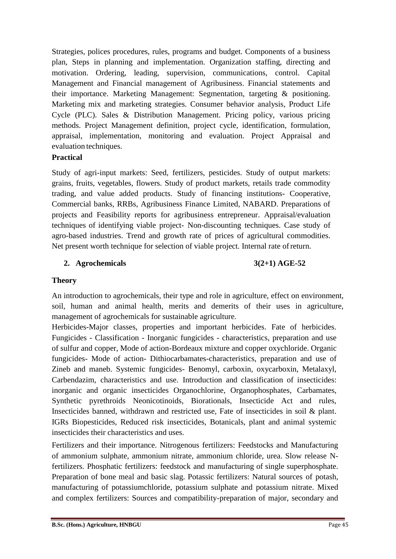Strategies, polices procedures, rules, programs and budget. Components of a business plan, Steps in planning and implementation. Organization staffing, directing and motivation. Ordering, leading, supervision, communications, control. Capital Management and Financial management of Agribusiness. Financial statements and their importance. Marketing Management: Segmentation, targeting & positioning. Marketing mix and marketing strategies. Consumer behavior analysis, Product Life Cycle (PLC). Sales & Distribution Management. Pricing policy, various pricing methods. Project Management definition, project cycle, identification, formulation, appraisal, implementation, monitoring and evaluation. Project Appraisal and evaluation techniques.

# **Practical**

Study of agri-input markets: Seed, fertilizers, pesticides. Study of output markets: grains, fruits, vegetables, flowers. Study of product markets, retails trade commodity trading, and value added products. Study of financing institutions- Cooperative, Commercial banks, RRBs, Agribusiness Finance Limited, NABARD. Preparations of projects and Feasibility reports for agribusiness entrepreneur. Appraisal/evaluation techniques of identifying viable project- Non-discounting techniques. Case study of agro-based industries. Trend and growth rate of prices of agricultural commodities. Net present worth technique for selection of viable project. Internal rate ofreturn.

# **2. Agrochemicals 3(2+1) AGE-52**

# **Theory**

An introduction to agrochemicals, their type and role in agriculture, effect on environment, soil, human and animal health, merits and demerits of their uses in agriculture, management of agrochemicals for sustainable agriculture.

Herbicides-Major classes, properties and important herbicides. Fate of herbicides. Fungicides - Classification - Inorganic fungicides - characteristics, preparation and use of sulfur and copper, Mode of action-Bordeaux mixture and copper oxychloride. Organic fungicides- Mode of action- Dithiocarbamates-characteristics, preparation and use of Zineb and maneb. Systemic fungicides- Benomyl, carboxin, oxycarboxin, Metalaxyl, Carbendazim, characteristics and use. Introduction and classification of insecticides: inorganic and organic insecticides Organochlorine, Organophosphates, Carbamates, Synthetic pyrethroids Neonicotinoids, Biorationals, Insecticide Act and rules, Insecticides banned, withdrawn and restricted use, Fate of insecticides in soil & plant. IGRs Biopesticides, Reduced risk insecticides, Botanicals, plant and animal systemic insecticides their characteristics and uses.

Fertilizers and their importance. Nitrogenous fertilizers: Feedstocks and Manufacturing of ammonium sulphate, ammonium nitrate, ammonium chloride, urea. Slow release Nfertilizers. Phosphatic fertilizers: feedstock and manufacturing of single superphosphate. Preparation of bone meal and basic slag. Potassic fertilizers: Natural sources of potash, manufacturing of potassiumchloride, potassium sulphate and potassium nitrate. Mixed and complex fertilizers: Sources and compatibility-preparation of major, secondary and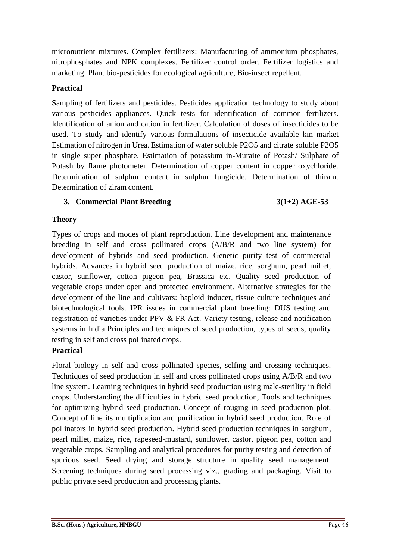micronutrient mixtures. Complex fertilizers: Manufacturing of ammonium phosphates, nitrophosphates and NPK complexes. Fertilizer control order. Fertilizer logistics and marketing. Plant bio-pesticides for ecological agriculture, Bio-insect repellent.

# **Practical**

Sampling of fertilizers and pesticides. Pesticides application technology to study about various pesticides appliances. Quick tests for identification of common fertilizers. Identification of anion and cation in fertilizer. Calculation of doses of insecticides to be used. To study and identify various formulations of insecticide available kin market Estimation of nitrogen in Urea. Estimation of water soluble P2O5 and citrate soluble P2O5 in single super phosphate. Estimation of potassium in-Muraite of Potash/ Sulphate of Potash by flame photometer. Determination of copper content in copper oxychloride. Determination of sulphur content in sulphur fungicide. Determination of thiram. Determination of ziram content.

# **3. Commercial Plant Breeding 3(1+2) AGE-53**

# **Theory**

Types of crops and modes of plant reproduction. Line development and maintenance breeding in self and cross pollinated crops (A/B/R and two line system) for development of hybrids and seed production. Genetic purity test of commercial hybrids. Advances in hybrid seed production of maize, rice, sorghum, pearl millet, castor, sunflower, cotton pigeon pea, Brassica etc. Quality seed production of vegetable crops under open and protected environment. Alternative strategies for the development of the line and cultivars: haploid inducer, tissue culture techniques and biotechnological tools. IPR issues in commercial plant breeding: DUS testing and registration of varieties under PPV & FR Act. Variety testing, release and notification systems in India Principles and techniques of seed production, types of seeds, quality testing in self and cross pollinated crops.

# **Practical**

Floral biology in self and cross pollinated species, selfing and crossing techniques. Techniques of seed production in self and cross pollinated crops using A/B/R and two line system. Learning techniques in hybrid seed production using male-sterility in field crops. Understanding the difficulties in hybrid seed production, Tools and techniques for optimizing hybrid seed production. Concept of rouging in seed production plot. Concept of line its multiplication and purification in hybrid seed production. Role of pollinators in hybrid seed production. Hybrid seed production techniques in sorghum, pearl millet, maize, rice, rapeseed-mustard, sunflower, castor, pigeon pea, cotton and vegetable crops. Sampling and analytical procedures for purity testing and detection of spurious seed. Seed drying and storage structure in quality seed management. Screening techniques during seed processing viz., grading and packaging. Visit to public private seed production and processing plants.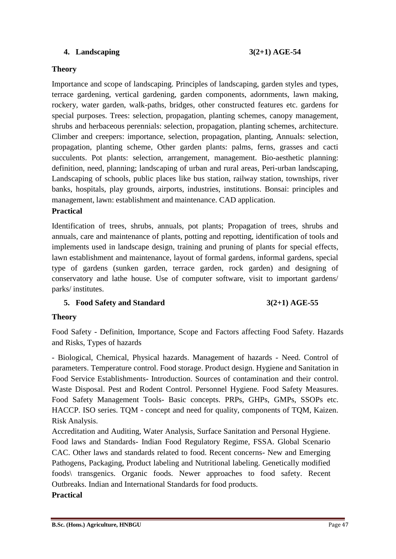# **4. Landscaping 3(2+1) AGE-54**

### **Theory**

Importance and scope of landscaping. Principles of landscaping, garden styles and types, terrace gardening, vertical gardening, garden components, adornments, lawn making, rockery, water garden, walk-paths, bridges, other constructed features etc. gardens for special purposes. Trees: selection, propagation, planting schemes, canopy management, shrubs and herbaceous perennials: selection, propagation, planting schemes, architecture. Climber and creepers: importance, selection, propagation, planting, Annuals: selection, propagation, planting scheme, Other garden plants: palms, ferns, grasses and cacti succulents. Pot plants: selection, arrangement, management. Bio-aesthetic planning: definition, need, planning; landscaping of urban and rural areas, Peri-urban landscaping, Landscaping of schools, public places like bus station, railway station, townships, river banks, hospitals, play grounds, airports, industries, institutions. Bonsai: principles and management, lawn: establishment and maintenance. CAD application.

### **Practical**

Identification of trees, shrubs, annuals, pot plants; Propagation of trees, shrubs and annuals, care and maintenance of plants, potting and repotting, identification of tools and implements used in landscape design, training and pruning of plants for special effects, lawn establishment and maintenance, layout of formal gardens, informal gardens, special type of gardens (sunken garden, terrace garden, rock garden) and designing of conservatory and lathe house. Use of computer software, visit to important gardens/ parks/ institutes.

### **5. Food Safety and Standard 3(2+1) AGE-55**

#### **Theory**

Food Safety - Definition, Importance, Scope and Factors affecting Food Safety. Hazards and Risks, Types of hazards

- Biological, Chemical, Physical hazards. Management of hazards - Need. Control of parameters. Temperature control. Food storage. Product design. Hygiene and Sanitation in Food Service Establishments- Introduction. Sources of contamination and their control. Waste Disposal. Pest and Rodent Control. Personnel Hygiene. Food Safety Measures. Food Safety Management Tools- Basic concepts. PRPs, GHPs, GMPs, SSOPs etc. HACCP. ISO series. TQM - concept and need for quality, components of TQM, Kaizen. Risk Analysis.

Accreditation and Auditing, Water Analysis, Surface Sanitation and Personal Hygiene. Food laws and Standards- Indian Food Regulatory Regime, FSSA. Global Scenario CAC. Other laws and standards related to food. Recent concerns- New and Emerging Pathogens, Packaging, Product labeling and Nutritional labeling. Genetically modified foods\ transgenics. Organic foods. Newer approaches to food safety. Recent Outbreaks. Indian and International Standards for food products.

#### **Practical**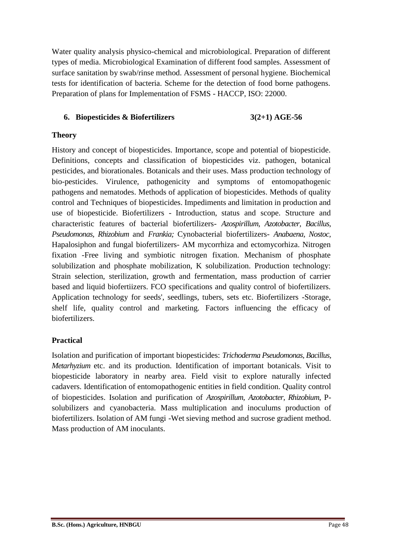Water quality analysis physico-chemical and microbiological. Preparation of different types of media. Microbiological Examination of different food samples. Assessment of surface sanitation by swab/rinse method. Assessment of personal hygiene. Biochemical tests for identification of bacteria. Scheme for the detection of food borne pathogens. Preparation of plans for Implementation of FSMS - HACCP, ISO: 22000.

# **6. Biopesticides & Biofertilizers 3(2+1) AGE-56**

### **Theory**

History and concept of biopesticides. Importance, scope and potential of biopesticide. Definitions, concepts and classification of biopesticides viz. pathogen, botanical pesticides, and biorationales. Botanicals and their uses. Mass production technology of bio-pesticides. Virulence, pathogenicity and symptoms of entomopathogenic pathogens and nematodes. Methods of application of biopesticides. Methods of quality control and Techniques of biopesticides. Impediments and limitation in production and use of biopesticide. Biofertilizers - Introduction, status and scope. Structure and characteristic features of bacterial biofertilizers- *Azospirillum, Azotobacter, Bacillus, Pseudomonas, Rhizobium* and *Frankia;* Cynobacterial biofertilizers- *Anabaena, Nostoc,*  Hapalosiphon and fungal biofertilizers- AM mycorrhiza and ectomycorhiza. Nitrogen fixation -Free living and symbiotic nitrogen fixation. Mechanism of phosphate solubilization and phosphate mobilization, K solubilization. Production technology: Strain selection, sterilization, growth and fermentation, mass production of carrier based and liquid biofertiizers. FCO specifications and quality control of biofertilizers. Application technology for seeds', seedlings, tubers, sets etc. Biofertilizers -Storage, shelf life, quality control and marketing. Factors influencing the efficacy of biofertilizers.

### **Practical**

Isolation and purification of important biopesticides: *Trichoderma Pseudomonas, Bacillus, Metarhyzium* etc. and its production. Identification of important botanicals. Visit to biopesticide laboratory in nearby area. Field visit to explore naturally infected cadavers. Identification of entomopathogenic entities in field condition. Quality control of biopesticides. Isolation and purification of *Azospirillum, Azotobacter, Rhizobium*, Psolubilizers and cyanobacteria. Mass multiplication and inoculums production of biofertilizers. Isolation of AM fungi -Wet sieving method and sucrose gradient method. Mass production of AM inoculants.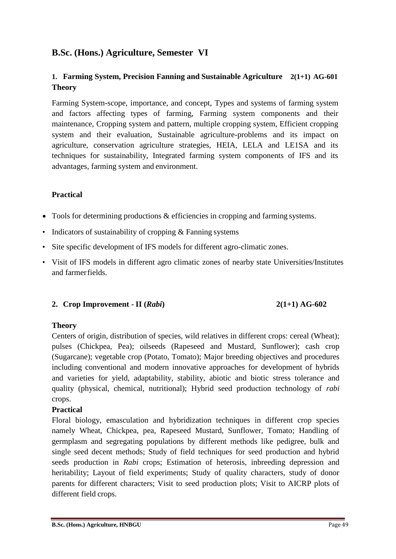# **B.Sc. (Hons.) Agriculture, Semester VI**

# **1. Farming System, Precision Fanning and Sustainable Agriculture 2(1+1) AG-601 Theory**

Farming System-scope, importance, and concept, Types and systems of farming system and factors affecting types of farming, Farming system components and their maintenance, Cropping system and pattern, multiple cropping system, Efficient cropping system and their evaluation, Sustainable agriculture-problems and its impact on agriculture, conservation agriculture strategies, HEIA, LELA and LE1SA and its techniques for sustainability, Integrated farming system components of IFS and its advantages, farming system and environment.

# **Practical**

- Tools for determining productions & efficiencies in cropping and farming systems.
- Indicators of sustainability of cropping & Fanning systems
- Site specific development of IFS models for different agro-climatic zones.
- Visit of IFS models in different agro climatic zones of nearby state Universities/Institutes and farmerfields.

### **2. Crop Improvement - II (***Rabi***) 2(1+1) AG-602**

### **Theory**

Centers of origin, distribution of species, wild relatives in different crops: cereal (Wheat); pulses (Chickpea, Pea); oilseeds (Rapeseed and Mustard, Sunflower); cash crop (Sugarcane); vegetable crop (Potato, Tomato); Major breeding objectives and procedures including conventional and modern innovative approaches for development of hybrids and varieties for yield, adaptability, stability, abiotic and biotic stress tolerance and quality (physical, chemical, nutritional); Hybrid seed production technology of *rabi*  crops.

# **Practical**

Floral biology, emasculation and hybridization techniques in different crop species namely Wheat, Chickpea, pea, Rapeseed Mustard, Sunflower, Tomato; Handling of germplasm and segregating populations by different methods like pedigree, bulk and single seed decent methods; Study of field techniques for seed production and hybrid seeds production in *Rabi* crops; Estimation of heterosis, inbreeding depression and heritability; Layout of field experiments; Study of quality characters, study of donor parents for different characters; Visit to seed production plots; Visit to AICRP plots of different field crops.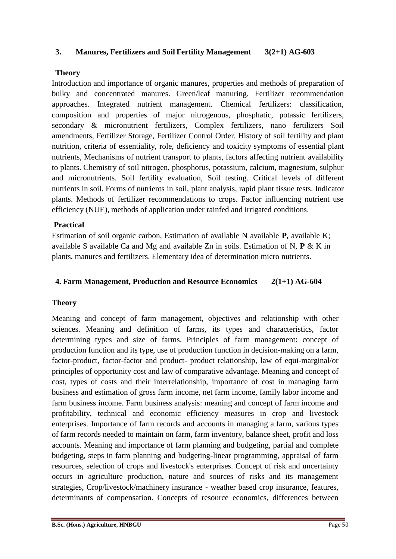#### **3. Manures, Fertilizers and Soil Fertility Management 3(2+1) AG-603**

#### **Theory**

Introduction and importance of organic manures, properties and methods of preparation of bulky and concentrated manures. Green/leaf manuring. Fertilizer recommendation approaches. Integrated nutrient management. Chemical fertilizers: classification, composition and properties of major nitrogenous, phosphatic, potassic fertilizers, secondary & micronutrient fertilizers, Complex fertilizers, nano fertilizers Soil amendments, Fertilizer Storage, Fertilizer Control Order. History of soil fertility and plant nutrition, criteria of essentiality, role, deficiency and toxicity symptoms of essential plant nutrients, Mechanisms of nutrient transport to plants, factors affecting nutrient availability to plants. Chemistry of soil nitrogen, phosphorus, potassium, calcium, magnesium, sulphur and micronutrients. Soil fertility evaluation, Soil testing. Critical levels of different nutrients in soil. Forms of nutrients in soil, plant analysis, rapid plant tissue tests. Indicator plants. Methods of fertilizer recommendations to crops. Factor influencing nutrient use efficiency (NUE), methods of application under rainfed and irrigated conditions.

#### **Practical**

Estimation of soil organic carbon, Estimation of available N available **P,** available K; available S available Ca and Mg and available Zn in soils. Estimation of N, **P** & K in plants, manures and fertilizers. Elementary idea of determination micro nutrients.

#### **4. Farm Management, Production and Resource Economics 2(1+1) AG-604**

#### **Theory**

Meaning and concept of farm management, objectives and relationship with other sciences. Meaning and definition of farms, its types and characteristics, factor determining types and size of farms. Principles of farm management: concept of production function and its type, use of production function in decision-making on a farm, factor-product, factor-factor and product- product relationship, law of equi-marginal/or principles of opportunity cost and law of comparative advantage. Meaning and concept of cost, types of costs and their interrelationship, importance of cost in managing farm business and estimation of gross farm income, net farm income, family labor income and farm business income. Farm business analysis: meaning and concept of farm income and profitability, technical and economic efficiency measures in crop and livestock enterprises. Importance of farm records and accounts in managing a farm, various types of farm records needed to maintain on farm, farm inventory, balance sheet, profit and loss accounts. Meaning and importance of farm planning and budgeting, partial and complete budgeting, steps in farm planning and budgeting-linear programming, appraisal of farm resources, selection of crops and livestock's enterprises. Concept of risk and uncertainty occurs in agriculture production, nature and sources of risks and its management strategies, Crop/livestock/machinery insurance - weather based crop insurance, features, determinants of compensation. Concepts of resource economics, differences between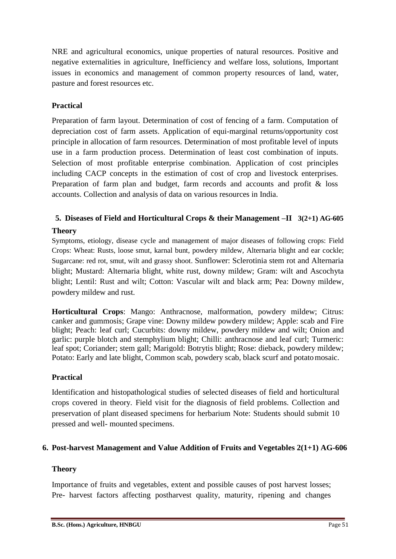NRE and agricultural economics, unique properties of natural resources. Positive and negative externalities in agriculture, Inefficiency and welfare loss, solutions, Important issues in economics and management of common property resources of land, water, pasture and forest resources etc.

# **Practical**

Preparation of farm layout. Determination of cost of fencing of a farm. Computation of depreciation cost of farm assets. Application of equi-marginal returns/opportunity cost principle in allocation of farm resources. Determination of most profitable level of inputs use in a farm production process. Determination of least cost combination of inputs. Selection of most profitable enterprise combination. Application of cost principles including CACP concepts in the estimation of cost of crop and livestock enterprises. Preparation of farm plan and budget, farm records and accounts and profit & loss accounts. Collection and analysis of data on various resources in India.

# **5. Diseases of Field and Horticultural Crops & their Management –II 3(2+1) AG-605**

# **Theory**

Symptoms, etiology, disease cycle and management of major diseases of following crops: Field Crops: Wheat: Rusts, loose smut, karnal bunt, powdery mildew, Alternaria blight and ear cockle; Sugarcane: red rot, smut, wilt and grassy shoot. Sunflower: Sclerotinia stem rot and Alternaria blight; Mustard: Alternaria blight, white rust, downy mildew; Gram: wilt and Ascochyta blight; Lentil: Rust and wilt; Cotton: Vascular wilt and black arm; Pea: Downy mildew, powdery mildew and rust.

**Horticultural Crops**: Mango: Anthracnose, malformation, powdery mildew; Citrus: canker and gummosis; Grape vine: Downy mildew powdery mildew; Apple: scab and Fire blight; Peach: leaf curl; Cucurbits: downy mildew, powdery mildew and wilt; Onion and garlic: purple blotch and stemphylium blight; Chilli: anthracnose and leaf curl; Turmeric: leaf spot; Coriander; stem gall; Marigold: Botrytis blight; Rose: dieback, powdery mildew; Potato: Early and late blight, Common scab, powdery scab, black scurf and potatomosaic.

### **Practical**

Identification and histopathological studies of selected diseases of field and horticultural crops covered in theory. Field visit for the diagnosis of field problems. Collection and preservation of plant diseased specimens for herbarium Note: Students should submit 10 pressed and well- mounted specimens.

### **6. Post-harvest Management and Value Addition of Fruits and Vegetables 2(1+1) AG-606**

### **Theory**

Importance of fruits and vegetables, extent and possible causes of post harvest losses; Pre- harvest factors affecting postharvest quality, maturity, ripening and changes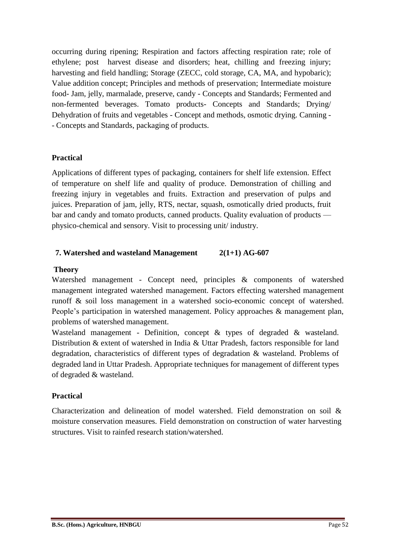occurring during ripening; Respiration and factors affecting respiration rate; role of ethylene; post harvest disease and disorders; heat, chilling and freezing injury; harvesting and field handling; Storage (ZECC, cold storage, CA, MA, and hypobaric); Value addition concept; Principles and methods of preservation; Intermediate moisture food- Jam, jelly, marmalade, preserve, candy - Concepts and Standards; Fermented and non-fermented beverages. Tomato products- Concepts and Standards; Drying/ Dehydration of fruits and vegetables - Concept and methods, osmotic drying. Canning - - Concepts and Standards, packaging of products.

# **Practical**

Applications of different types of packaging, containers for shelf life extension. Effect of temperature on shelf life and quality of produce. Demonstration of chilling and freezing injury in vegetables and fruits. Extraction and preservation of pulps and juices. Preparation of jam, jelly, RTS, nectar, squash, osmotically dried products, fruit bar and candy and tomato products, canned products. Quality evaluation of products physico-chemical and sensory. Visit to processing unit/ industry.

### **7. Watershed and wasteland Management 2(1+1) AG-607**

#### **Theory**

Watershed management - Concept need, principles & components of watershed management integrated watershed management. Factors effecting watershed management runoff & soil loss management in a watershed socio-economic concept of watershed. People's participation in watershed management. Policy approaches & management plan, problems of watershed management.

Wasteland management - Definition, concept & types of degraded & wasteland. Distribution & extent of watershed in India & Uttar Pradesh, factors responsible for land degradation, characteristics of different types of degradation & wasteland. Problems of degraded land in Uttar Pradesh. Appropriate techniques for management of different types of degraded & wasteland.

### **Practical**

Characterization and delineation of model watershed. Field demonstration on soil & moisture conservation measures. Field demonstration on construction of water harvesting structures. Visit to rainfed research station/watershed.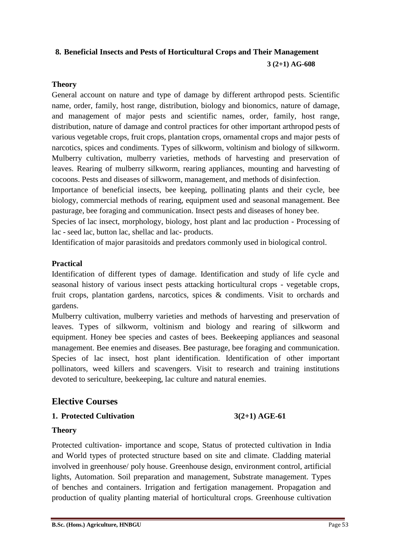# **8. Beneficial Insects and Pests of Horticultural Crops and Their Management 3 (2+1) AG-608**

### **Theory**

General account on nature and type of damage by different arthropod pests. Scientific name, order, family, host range, distribution, biology and bionomics, nature of damage, and management of major pests and scientific names, order, family, host range, distribution, nature of damage and control practices for other important arthropod pests of various vegetable crops, fruit crops, plantation crops, ornamental crops and major pests of narcotics, spices and condiments. Types of silkworm, voltinism and biology of silkworm. Mulberry cultivation, mulberry varieties, methods of harvesting and preservation of leaves. Rearing of mulberry silkworm, rearing appliances, mounting and harvesting of cocoons. Pests and diseases of silkworm, management, and methods of disinfection.

Importance of beneficial insects, bee keeping, pollinating plants and their cycle, bee biology, commercial methods of rearing, equipment used and seasonal management. Bee pasturage, bee foraging and communication. Insect pests and diseases of honey bee.

Species of lac insect, morphology, biology, host plant and lac production - Processing of lac - seed lac, button lac, shellac and lac- products.

Identification of major parasitoids and predators commonly used in biological control.

### **Practical**

Identification of different types of damage. Identification and study of life cycle and seasonal history of various insect pests attacking horticultural crops - vegetable crops, fruit crops, plantation gardens, narcotics, spices & condiments. Visit to orchards and gardens.

Mulberry cultivation, mulberry varieties and methods of harvesting and preservation of leaves. Types of silkworm, voltinism and biology and rearing of silkworm and equipment. Honey bee species and castes of bees. Beekeeping appliances and seasonal management. Bee enemies and diseases. Bee pasturage, bee foraging and communication. Species of lac insect, host plant identification. Identification of other important pollinators, weed killers and scavengers. Visit to research and training institutions devoted to sericulture, beekeeping, lac culture and natural enemies.

# **Elective Courses**

### **1. Protected Cultivation 3(2+1) AGE-61**

### **Theory**

Protected cultivation- importance and scope, Status of protected cultivation in India and World types of protected structure based on site and climate. Cladding material involved in greenhouse/ poly house. Greenhouse design, environment control, artificial lights, Automation. Soil preparation and management, Substrate management. Types of benches and containers. Irrigation and fertigation management. Propagation and production of quality planting material of horticultural crops. Greenhouse cultivation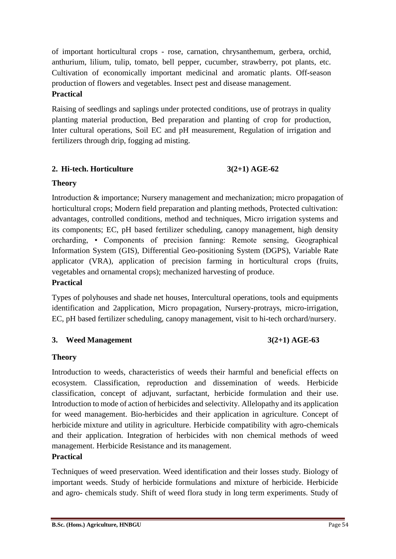of important horticultural crops - rose, carnation, chrysanthemum, gerbera, orchid, anthurium, lilium, tulip, tomato, bell pepper, cucumber, strawberry, pot plants, etc. Cultivation of economically important medicinal and aromatic plants. Off-season production of flowers and vegetables. Insect pest and disease management. **Practical**

Raising of seedlings and saplings under protected conditions, use of protrays in quality planting material production, Bed preparation and planting of crop for production, Inter cultural operations, Soil EC and pH measurement, Regulation of irrigation and fertilizers through drip, fogging ad misting.

# **2. Hi-tech. Horticulture 3(2+1) AGE-62**

# **Theory**

Introduction & importance; Nursery management and mechanization; micro propagation of horticultural crops; Modern field preparation and planting methods, Protected cultivation: advantages, controlled conditions, method and techniques, Micro irrigation systems and its components; EC, pH based fertilizer scheduling, canopy management, high density orcharding, • Components of precision fanning: Remote sensing, Geographical Information System (GIS), Differential Geo-positioning System (DGPS), Variable Rate applicator (VRA), application of precision farming in horticultural crops (fruits, vegetables and ornamental crops); mechanized harvesting of produce. **Practical**

Types of polyhouses and shade net houses, Intercultural operations, tools and equipments identification and 2application, Micro propagation, Nursery-protrays, micro-irrigation, EC, pH based fertilizer scheduling, canopy management, visit to hi-tech orchard/nursery.

# **3. Weed Management 3(2+1) AGE-63**

# **Theory**

Introduction to weeds, characteristics of weeds their harmful and beneficial effects on ecosystem. Classification, reproduction and dissemination of weeds. Herbicide classification, concept of adjuvant, surfactant, herbicide formulation and their use. Introduction to mode of action of herbicides and selectivity. Allelopathy and its application for weed management. Bio-herbicides and their application in agriculture. Concept of herbicide mixture and utility in agriculture. Herbicide compatibility with agro-chemicals and their application. Integration of herbicides with non chemical methods of weed management. Herbicide Resistance and its management.

# **Practical**

Techniques of weed preservation. Weed identification and their losses study. Biology of important weeds. Study of herbicide formulations and mixture of herbicide. Herbicide and agro- chemicals study. Shift of weed flora study in long term experiments. Study of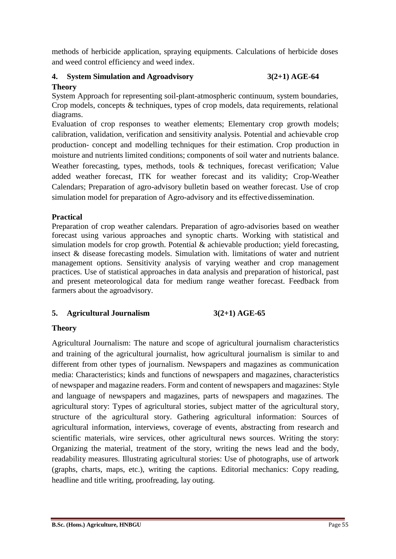methods of herbicide application, spraying equipments. Calculations of herbicide doses and weed control efficiency and weed index.

# **4. System Simulation and Agroadvisory 3(2+1) AGE-64 Theory**

System Approach for representing soil-plant-atmospheric continuum, system boundaries, Crop models, concepts & techniques, types of crop models, data requirements, relational diagrams.

Evaluation of crop responses to weather elements; Elementary crop growth models; calibration, validation, verification and sensitivity analysis. Potential and achievable crop production- concept and modelling techniques for their estimation. Crop production in moisture and nutrients limited conditions; components of soil water and nutrients balance. Weather forecasting, types, methods, tools & techniques, forecast verification; Value added weather forecast, ITK for weather forecast and its validity; Crop-Weather Calendars; Preparation of agro-advisory bulletin based on weather forecast. Use of crop simulation model for preparation of Agro-advisory and its effective dissemination.

# **Practical**

Preparation of crop weather calendars. Preparation of agro-advisories based on weather forecast using various approaches and synoptic charts. Working with statistical and simulation models for crop growth. Potential & achievable production; yield forecasting, insect & disease forecasting models. Simulation with. limitations of water and nutrient management options. Sensitivity analysis of varying weather and crop management practices. Use of statistical approaches in data analysis and preparation of historical, past and present meteorological data for medium range weather forecast. Feedback from farmers about the agroadvisory.

# **5. Agricultural Journalism 3(2+1) AGE-65**

# **Theory**

Agricultural Journalism: The nature and scope of agricultural journalism characteristics and training of the agricultural journalist, how agricultural journalism is similar to and different from other types of journalism. Newspapers and magazines as communication media: Characteristics; kinds and functions of newspapers and magazines, characteristics of newspaper and magazine readers. Form and content of newspapers and magazines: Style and language of newspapers and magazines, parts of newspapers and magazines. The agricultural story: Types of agricultural stories, subject matter of the agricultural story, structure of the agricultural story. Gathering agricultural information: Sources of agricultural information, interviews, coverage of events, abstracting from research and scientific materials, wire services, other agricultural news sources. Writing the story: Organizing the material, treatment of the story, writing the news lead and the body, readability measures. Illustrating agricultural stories: Use of photographs, use of artwork (graphs, charts, maps, etc.), writing the captions. Editorial mechanics: Copy reading, headline and title writing, proofreading, lay outing.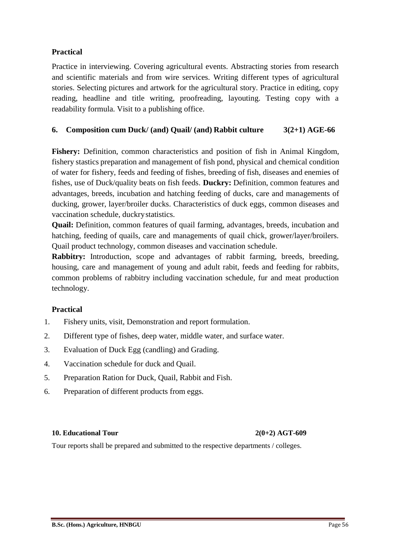### **Practical**

Practice in interviewing. Covering agricultural events. Abstracting stories from research and scientific materials and from wire services. Writing different types of agricultural stories. Selecting pictures and artwork for the agricultural story. Practice in editing, copy reading, headline and title writing, proofreading, layouting. Testing copy with a readability formula. Visit to a publishing office.

# **6. Composition cum Duck/ (and) Quail/ (and) Rabbit culture 3(2+1) AGE-66**

**Fishery:** Definition, common characteristics and position of fish in Animal Kingdom, fishery stastics preparation and management of fish pond, physical and chemical condition of water for fishery, feeds and feeding of fishes, breeding of fish, diseases and enemies of fishes, use of Duck/quality beats on fish feeds. **Duckry:** Definition, common features and advantages, breeds, incubation and hatching feeding of ducks, care and managements of ducking, grower, layer/broiler ducks. Characteristics of duck eggs, common diseases and vaccination schedule, duckrystatistics.

**Quail:** Definition, common features of quail farming, advantages, breeds, incubation and hatching, feeding of quails, care and managements of quail chick, grower/layer/broilers. Quail product technology, common diseases and vaccination schedule.

**Rabbitry:** Introduction, scope and advantages of rabbit farming, breeds, breeding, housing, care and management of young and adult rabit, feeds and feeding for rabbits, common problems of rabbitry including vaccination schedule, fur and meat production technology.

### **Practical**

- 1. Fishery units, visit, Demonstration and report formulation.
- 2. Different type of fishes, deep water, middle water, and surface water.
- 3. Evaluation of Duck Egg (candling) and Grading.
- 4. Vaccination schedule for duck and Quail.
- 5. Preparation Ration for Duck, Quail, Rabbit and Fish.
- 6. Preparation of different products from eggs.

#### **10. Educational Tour 2(0+2) AGT-609**

Tour reports shall be prepared and submitted to the respective departments / colleges.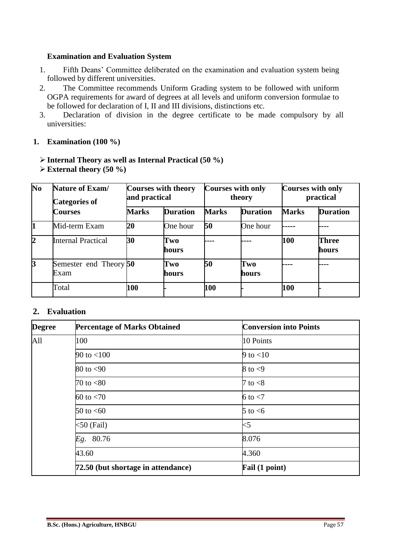#### **Examination and Evaluation System**

- 1. Fifth Deans' Committee deliberated on the examination and evaluation system being followed by different universities.
- 2. The Committee recommends Uniform Grading system to be followed with uniform OGPA requirements for award of degrees at all levels and uniform conversion formulae to be followed for declaration of I, II and III divisions, distinctions etc.
- 3. Declaration of division in the degree certificate to be made compulsory by all universities:

#### **1. Examination (100 %)**

### **Internal Theory as well as Internal Practical (50 %)**

| $\overline{\text{No}}$ | <b>Nature of Exam/</b><br><b>Categories of</b> | <b>Courses with theory</b><br>and practical |                 | <b>Courses with only</b><br>theory |                 | <b>Courses with only</b><br>practical |                       |
|------------------------|------------------------------------------------|---------------------------------------------|-----------------|------------------------------------|-----------------|---------------------------------------|-----------------------|
|                        | <b>Courses</b>                                 | <b>Marks</b>                                | <b>Duration</b> | <b>Marks</b>                       | <b>Duration</b> | <b>Marks</b>                          | <b>Duration</b>       |
| $\mathbf 1$            | Mid-term Exam                                  | 20                                          | One hour        | 50                                 | One hour        |                                       |                       |
| $\overline{2}$         | <b>Internal Practical</b>                      | 30                                          | Two<br>hours    |                                    |                 | 100                                   | <b>Three</b><br>hours |
| $\mathbf{3}$           | Semester end Theory 50<br>Exam                 |                                             | Two<br>hours    | 50                                 | Two<br>hours    |                                       |                       |
|                        | Total                                          | 100                                         |                 | 100                                |                 | 100                                   |                       |

**External theory (50 %)**

# **2. Evaluation**

| <b>Degree</b> | <b>Percentage of Marks Obtained</b> | <b>Conversion into Points</b> |
|---------------|-------------------------------------|-------------------------------|
| All           | 100                                 | 10 Points                     |
|               | 90 to $< 100$                       | 9 to $<$ 10                   |
|               | $80$ to $< 90$                      | 8 to $<$ 9                    |
|               | 70 to $< 80$                        | 7 to $<8$                     |
|               | $60$ to $< 70$                      | 6 to $<$ 7                    |
|               | $50$ to $<60$                       | 5 to $<6$                     |
|               | $<$ 50 (Fail)                       | $<$ 5                         |
|               | Eg. 80.76                           | 8.076                         |
|               | 43.60                               | 4.360                         |
|               | 72.50 (but shortage in attendance)  | Fail (1 point)                |